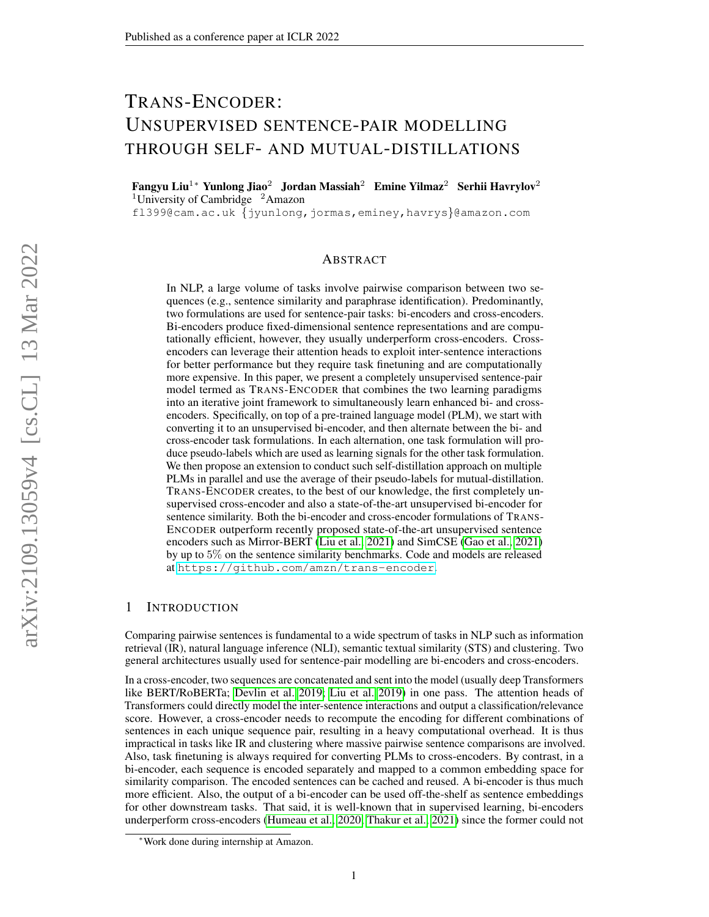# TRANS-ENCODER: UNSUPERVISED SENTENCE-PAIR MODELLING THROUGH SELF- AND MUTUAL-DISTILLATIONS

Fangyu Liu<sup>1</sup>\* Yunlong Jiao<sup>2</sup> Jordan Massiah<sup>2</sup> Emine Yilmaz<sup>2</sup> Serhii Havrylov<sup>2</sup> <sup>1</sup>University of Cambridge  $^2$ Amazon

fl399@cam.ac.uk {jyunlong,jormas,eminey,havrys}@amazon.com

#### ABSTRACT

In NLP, a large volume of tasks involve pairwise comparison between two sequences (e.g., sentence similarity and paraphrase identification). Predominantly, two formulations are used for sentence-pair tasks: bi-encoders and cross-encoders. Bi-encoders produce fixed-dimensional sentence representations and are computationally efficient, however, they usually underperform cross-encoders. Crossencoders can leverage their attention heads to exploit inter-sentence interactions for better performance but they require task finetuning and are computationally more expensive. In this paper, we present a completely unsupervised sentence-pair model termed as TRANS-ENCODER that combines the two learning paradigms into an iterative joint framework to simultaneously learn enhanced bi- and crossencoders. Specifically, on top of a pre-trained language model (PLM), we start with converting it to an unsupervised bi-encoder, and then alternate between the bi- and cross-encoder task formulations. In each alternation, one task formulation will produce pseudo-labels which are used as learning signals for the other task formulation. We then propose an extension to conduct such self-distillation approach on multiple PLMs in parallel and use the average of their pseudo-labels for mutual-distillation. TRANS-ENCODER creates, to the best of our knowledge, the first completely unsupervised cross-encoder and also a state-of-the-art unsupervised bi-encoder for sentence similarity. Both the bi-encoder and cross-encoder formulations of TRANS-ENCODER outperform recently proposed state-of-the-art unsupervised sentence encoders such as Mirror-BERT [\(Liu et al., 2021\)](#page-10-0) and SimCSE [\(Gao et al., 2021\)](#page-9-0) by up to 5% on the sentence similarity benchmarks. Code and models are released at <https://github.com/amzn/trans-encoder>.

## 1 INTRODUCTION

Comparing pairwise sentences is fundamental to a wide spectrum of tasks in NLP such as information retrieval (IR), natural language inference (NLI), semantic textual similarity (STS) and clustering. Two general architectures usually used for sentence-pair modelling are bi-encoders and cross-encoders.

In a cross-encoder, two sequences are concatenated and sent into the model (usually deep Transformers like BERT/RoBERTa; [Devlin et al. 2019;](#page-9-1) [Liu et al. 2019\)](#page-10-1) in one pass. The attention heads of Transformers could directly model the inter-sentence interactions and output a classification/relevance score. However, a cross-encoder needs to recompute the encoding for different combinations of sentences in each unique sequence pair, resulting in a heavy computational overhead. It is thus impractical in tasks like IR and clustering where massive pairwise sentence comparisons are involved. Also, task finetuning is always required for converting PLMs to cross-encoders. By contrast, in a bi-encoder, each sequence is encoded separately and mapped to a common embedding space for similarity comparison. The encoded sentences can be cached and reused. A bi-encoder is thus much more efficient. Also, the output of a bi-encoder can be used off-the-shelf as sentence embeddings for other downstream tasks. That said, it is well-known that in supervised learning, bi-encoders underperform cross-encoders [\(Humeau et al., 2020;](#page-9-2) [Thakur et al., 2021\)](#page-10-2) since the former could not

<sup>∗</sup>Work done during internship at Amazon.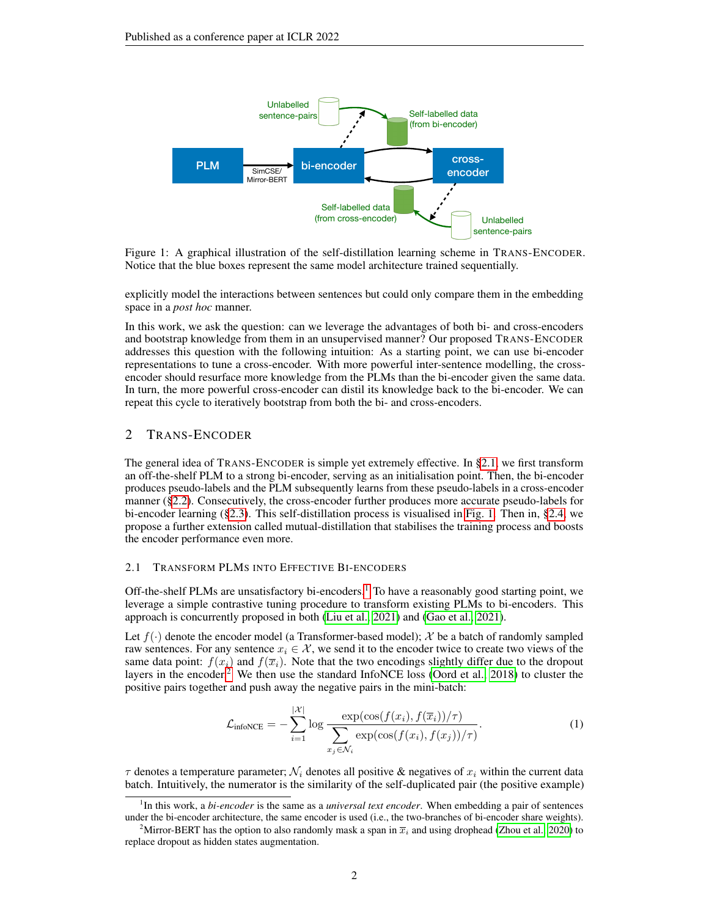<span id="page-1-1"></span>

Figure 1: A graphical illustration of the self-distillation learning scheme in TRANS-ENCODER. Notice that the blue boxes represent the same model architecture trained sequentially.

explicitly model the interactions between sentences but could only compare them in the embedding space in a *post hoc* manner.

In this work, we ask the question: can we leverage the advantages of both bi- and cross-encoders and bootstrap knowledge from them in an unsupervised manner? Our proposed TRANS-ENCODER addresses this question with the following intuition: As a starting point, we can use bi-encoder representations to tune a cross-encoder. With more powerful inter-sentence modelling, the crossencoder should resurface more knowledge from the PLMs than the bi-encoder given the same data. In turn, the more powerful cross-encoder can distil its knowledge back to the bi-encoder. We can repeat this cycle to iteratively bootstrap from both the bi- and cross-encoders.

## 2 TRANS-ENCODER

The general idea of TRANS-ENCODER is simple yet extremely effective. In [§2.1,](#page-1-0) we first transform an off-the-shelf PLM to a strong bi-encoder, serving as an initialisation point. Then, the bi-encoder produces pseudo-labels and the PLM subsequently learns from these pseudo-labels in a cross-encoder manner ([§2.2\)](#page-2-0). Consecutively, the cross-encoder further produces more accurate pseudo-labels for bi-encoder learning ([§2.3\)](#page-2-1). This self-distillation process is visualised in [Fig. 1.](#page-1-1) Then in, [§2.4,](#page-3-0) we propose a further extension called mutual-distillation that stabilises the training process and boosts the encoder performance even more.

#### <span id="page-1-0"></span>2.1 TRANSFORM PLMS INTO EFFECTIVE BI-ENCODERS

Off-the-shelf PLMs are unsatisfactory bi-encoders.<sup>[1](#page-1-2)</sup> To have a reasonably good starting point, we leverage a simple contrastive tuning procedure to transform existing PLMs to bi-encoders. This approach is concurrently proposed in both [\(Liu et al., 2021\)](#page-10-0) and [\(Gao et al., 2021\)](#page-9-0).

Let  $f(.)$  denote the encoder model (a Transformer-based model); X be a batch of randomly sampled raw sentences. For any sentence  $x_i \in \mathcal{X}$ , we send it to the encoder twice to create two views of the same data point:  $f(x_i)$  and  $f(\overline{x_i})$ . Note that the two encodings slightly differ due to the dropout layers in the encoder.<sup>[2](#page-1-3)</sup> We then use the standard InfoNCE loss [\(Oord et al., 2018\)](#page-10-3) to cluster the positive pairs together and push away the negative pairs in the mini-batch:

<span id="page-1-4"></span>
$$
\mathcal{L}_{\text{infoNCE}} = -\sum_{i=1}^{|\mathcal{X}|} \log \frac{\exp(\cos(f(x_i), f(\overline{x}_i))/\tau)}{\sum_{x_j \in \mathcal{N}_i} \exp(\cos(f(x_i), f(x_j))/\tau)}.
$$
(1)

 $\tau$  denotes a temperature parameter;  $\mathcal{N}_i$  denotes all positive & negatives of  $x_i$  within the current data batch. Intuitively, the numerator is the similarity of the self-duplicated pair (the positive example)

<span id="page-1-2"></span><sup>&</sup>lt;sup>1</sup>In this work, a *bi-encoder* is the same as a *universal text encoder*. When embedding a pair of sentences under the bi-encoder architecture, the same encoder is used (i.e., the two-branches of bi-encoder share weights).

<span id="page-1-3"></span><sup>&</sup>lt;sup>2</sup>Mirror-BERT has the option to also randomly mask a span in  $\bar{x}_i$  and using drophead [\(Zhou et al., 2020\)](#page-10-4) to replace dropout as hidden states augmentation.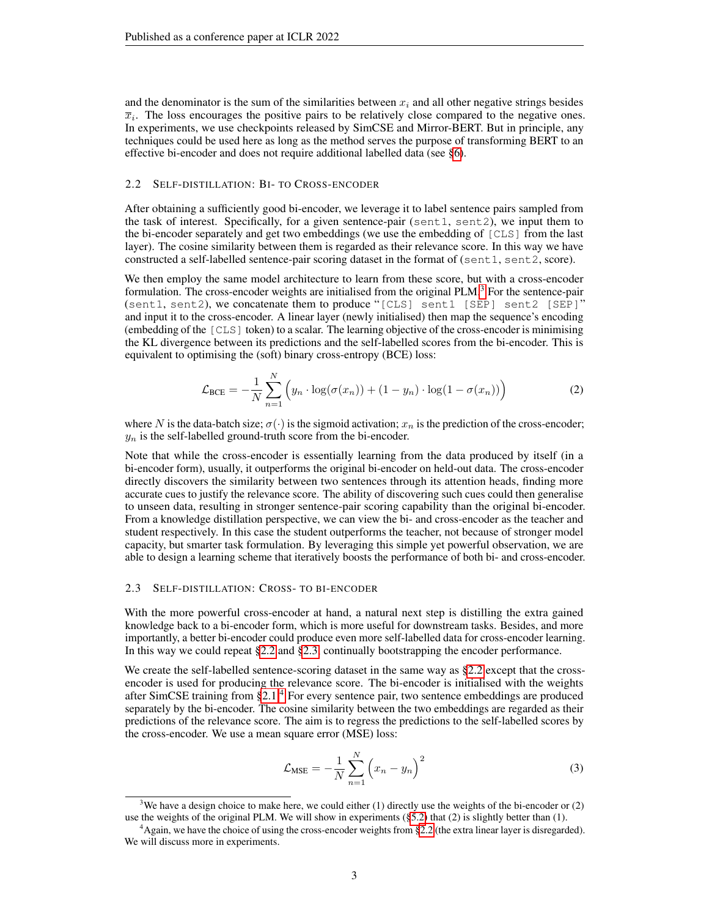and the denominator is the sum of the similarities between  $x_i$  and all other negative strings besides  $\overline{x}_i$ . The loss encourages the positive pairs to be relatively close compared to the negative ones. In experiments, we use checkpoints released by SimCSE and Mirror-BERT. But in principle, any techniques could be used here as long as the method serves the purpose of transforming BERT to an effective bi-encoder and does not require additional labelled data (see [§6\)](#page-8-0).

#### <span id="page-2-0"></span>2.2 SELF-DISTILLATION: BI- TO CROSS-ENCODER

After obtaining a sufficiently good bi-encoder, we leverage it to label sentence pairs sampled from the task of interest. Specifically, for a given sentence-pair (sent1, sent2), we input them to the bi-encoder separately and get two embeddings (we use the embedding of [CLS] from the last layer). The cosine similarity between them is regarded as their relevance score. In this way we have constructed a self-labelled sentence-pair scoring dataset in the format of (sent1, sent2, score).

We then employ the same model architecture to learn from these score, but with a cross-encoder formulation. The cross-encoder weights are initialised from the original  $PLM$ .<sup>[3](#page-2-2)</sup> For the sentence-pair (sent1, sent2), we concatenate them to produce "[CLS] sent1 [SEP] sent2 [SEP]" and input it to the cross-encoder. A linear layer (newly initialised) then map the sequence's encoding (embedding of the [CLS] token) to a scalar. The learning objective of the cross-encoder is minimising the KL divergence between its predictions and the self-labelled scores from the bi-encoder. This is equivalent to optimising the (soft) binary cross-entropy (BCE) loss:

$$
\mathcal{L}_{BCE} = -\frac{1}{N} \sum_{n=1}^{N} \left( y_n \cdot \log(\sigma(x_n)) + (1 - y_n) \cdot \log(1 - \sigma(x_n)) \right)
$$
(2)

where N is the data-batch size;  $\sigma(\cdot)$  is the sigmoid activation;  $x_n$  is the prediction of the cross-encoder;  $y_n$  is the self-labelled ground-truth score from the bi-encoder.

Note that while the cross-encoder is essentially learning from the data produced by itself (in a bi-encoder form), usually, it outperforms the original bi-encoder on held-out data. The cross-encoder directly discovers the similarity between two sentences through its attention heads, finding more accurate cues to justify the relevance score. The ability of discovering such cues could then generalise to unseen data, resulting in stronger sentence-pair scoring capability than the original bi-encoder. From a knowledge distillation perspective, we can view the bi- and cross-encoder as the teacher and student respectively. In this case the student outperforms the teacher, not because of stronger model capacity, but smarter task formulation. By leveraging this simple yet powerful observation, we are able to design a learning scheme that iteratively boosts the performance of both bi- and cross-encoder.

#### <span id="page-2-1"></span>2.3 SELF-DISTILLATION: CROSS- TO BI-ENCODER

With the more powerful cross-encoder at hand, a natural next step is distilling the extra gained knowledge back to a bi-encoder form, which is more useful for downstream tasks. Besides, and more importantly, a better bi-encoder could produce even more self-labelled data for cross-encoder learning. In this way we could repeat [§2.2](#page-2-0) and [§2.3,](#page-2-1) continually bootstrapping the encoder performance.

We create the self-labelled sentence-scoring dataset in the same way as [§2.2](#page-2-0) except that the crossencoder is used for producing the relevance score. The bi-encoder is initialised with the weights after SimCSE training from [§2.1.](#page-1-0)[4](#page-2-3) For every sentence pair, two sentence embeddings are produced separately by the bi-encoder. The cosine similarity between the two embeddings are regarded as their predictions of the relevance score. The aim is to regress the predictions to the self-labelled scores by the cross-encoder. We use a mean square error (MSE) loss:

$$
\mathcal{L}_{\text{MSE}} = -\frac{1}{N} \sum_{n=1}^{N} \left( x_n - y_n \right)^2 \tag{3}
$$

<span id="page-2-2"></span><sup>&</sup>lt;sup>3</sup>We have a design choice to make here, we could either (1) directly use the weights of the bi-encoder or (2) use the weights of the original PLM. We will show in experiments  $(\S 5.2)$  that (2) is slightly better than (1).

<span id="page-2-3"></span><sup>&</sup>lt;sup>4</sup>Again, we have the choice of using the cross-encoder weights from [§2.2](#page-2-0) (the extra linear layer is disregarded). We will discuss more in experiments.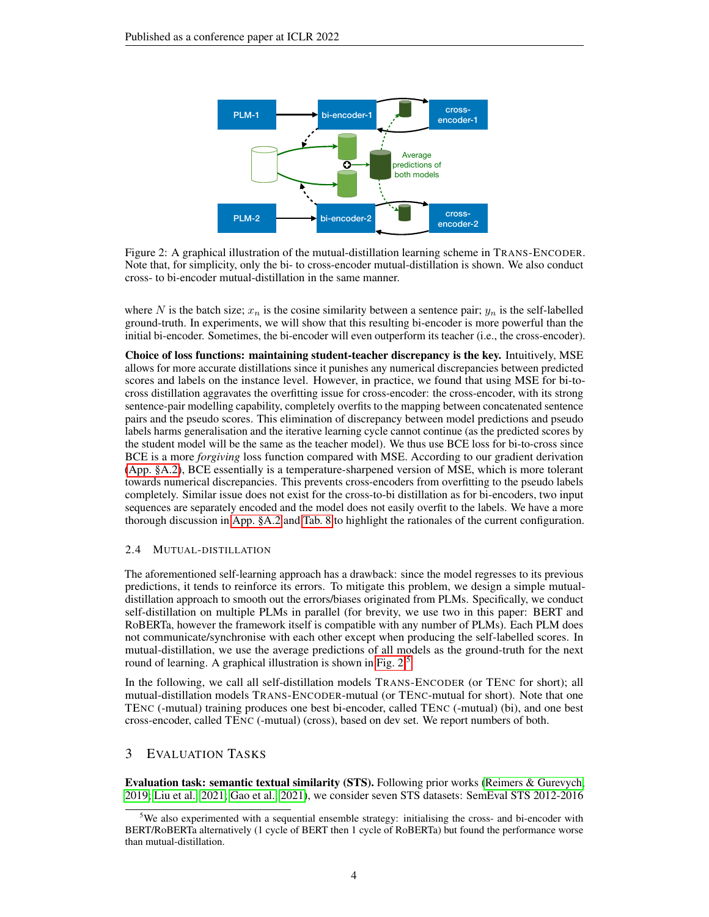<span id="page-3-1"></span>

Figure 2: A graphical illustration of the mutual-distillation learning scheme in TRANS-ENCODER. Note that, for simplicity, only the bi- to cross-encoder mutual-distillation is shown. We also conduct cross- to bi-encoder mutual-distillation in the same manner.

where N is the batch size;  $x_n$  is the cosine similarity between a sentence pair;  $y_n$  is the self-labelled ground-truth. In experiments, we will show that this resulting bi-encoder is more powerful than the initial bi-encoder. Sometimes, the bi-encoder will even outperform its teacher (i.e., the cross-encoder).

Choice of loss functions: maintaining student-teacher discrepancy is the key. Intuitively, MSE allows for more accurate distillations since it punishes any numerical discrepancies between predicted scores and labels on the instance level. However, in practice, we found that using MSE for bi-tocross distillation aggravates the overfitting issue for cross-encoder: the cross-encoder, with its strong sentence-pair modelling capability, completely overfits to the mapping between concatenated sentence pairs and the pseudo scores. This elimination of discrepancy between model predictions and pseudo labels harms generalisation and the iterative learning cycle cannot continue (as the predicted scores by the student model will be the same as the teacher model). We thus use BCE loss for bi-to-cross since BCE is a more *forgiving* loss function compared with MSE. According to our gradient derivation (App. [§A.2\)](#page-11-0), BCE essentially is a temperature-sharpened version of MSE, which is more tolerant towards numerical discrepancies. This prevents cross-encoders from overfitting to the pseudo labels completely. Similar issue does not exist for the cross-to-bi distillation as for bi-encoders, two input sequences are separately encoded and the model does not easily overfit to the labels. We have a more thorough discussion in [App. §A.2](#page-11-0) and [Tab. 8](#page-13-0) to highlight the rationales of the current configuration.

#### <span id="page-3-0"></span>2.4 MUTUAL-DISTILLATION

The aforementioned self-learning approach has a drawback: since the model regresses to its previous predictions, it tends to reinforce its errors. To mitigate this problem, we design a simple mutualdistillation approach to smooth out the errors/biases originated from PLMs. Specifically, we conduct self-distillation on multiple PLMs in parallel (for brevity, we use two in this paper: BERT and RoBERTa, however the framework itself is compatible with any number of PLMs). Each PLM does not communicate/synchronise with each other except when producing the self-labelled scores. In mutual-distillation, we use the average predictions of all models as the ground-truth for the next round of learning. A graphical illustration is shown in [Fig. 2.](#page-3-1)<sup>[5](#page-3-2)</sup>

In the following, we call all self-distillation models TRANS-ENCODER (or TENC for short); all mutual-distillation models TRANS-ENCODER-mutual (or TENC-mutual for short). Note that one TENC (-mutual) training produces one best bi-encoder, called TENC (-mutual) (bi), and one best cross-encoder, called TENC (-mutual) (cross), based on dev set. We report numbers of both.

# 3 EVALUATION TASKS

Evaluation task: semantic textual similarity (STS). Following prior works [\(Reimers & Gurevych,](#page-10-5) [2019;](#page-10-5) [Liu et al., 2021;](#page-10-0) [Gao et al., 2021\)](#page-9-0), we consider seven STS datasets: SemEval STS 2012-2016

<span id="page-3-2"></span><sup>&</sup>lt;sup>5</sup>We also experimented with a sequential ensemble strategy: initialising the cross- and bi-encoder with BERT/RoBERTa alternatively (1 cycle of BERT then 1 cycle of RoBERTa) but found the performance worse than mutual-distillation.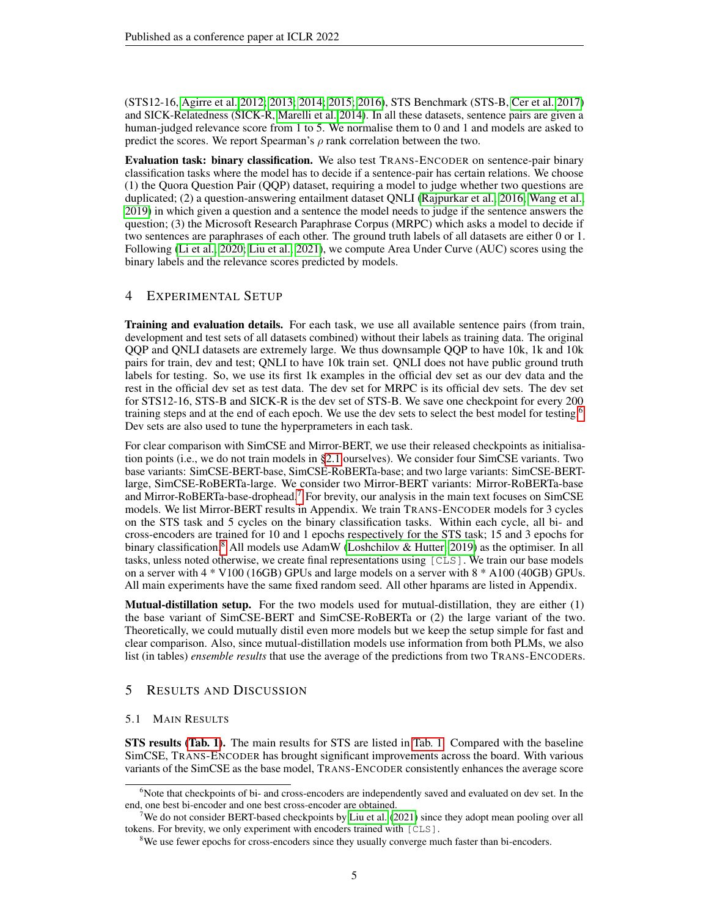(STS12-16, [Agirre et al. 2012;](#page-9-3) [2013;](#page-9-4) [2014;](#page-9-5) [2015;](#page-9-6) [2016\)](#page-9-7), STS Benchmark (STS-B, [Cer et al. 2017\)](#page-9-8) and SICK-Relatedness (SICK-R, [Marelli et al. 2014\)](#page-10-6). In all these datasets, sentence pairs are given a human-judged relevance score from 1 to 5. We normalise them to 0 and 1 and models are asked to predict the scores. We report Spearman's  $\rho$  rank correlation between the two.

Evaluation task: binary classification. We also test TRANS-ENCODER on sentence-pair binary classification tasks where the model has to decide if a sentence-pair has certain relations. We choose (1) the Quora Question Pair (QQP) dataset, requiring a model to judge whether two questions are duplicated; (2) a question-answering entailment dataset QNLI [\(Rajpurkar et al., 2016;](#page-10-7) [Wang et al.,](#page-10-8) [2019\)](#page-10-8) in which given a question and a sentence the model needs to judge if the sentence answers the question; (3) the Microsoft Research Paraphrase Corpus (MRPC) which asks a model to decide if two sentences are paraphrases of each other. The ground truth labels of all datasets are either 0 or 1. Following [\(Li et al., 2020;](#page-10-9) [Liu et al., 2021\)](#page-10-0), we compute Area Under Curve (AUC) scores using the binary labels and the relevance scores predicted by models.

# 4 EXPERIMENTAL SETUP

Training and evaluation details. For each task, we use all available sentence pairs (from train, development and test sets of all datasets combined) without their labels as training data. The original QQP and QNLI datasets are extremely large. We thus downsample QQP to have 10k, 1k and 10k pairs for train, dev and test; QNLI to have 10k train set. QNLI does not have public ground truth labels for testing. So, we use its first 1k examples in the official dev set as our dev data and the rest in the official dev set as test data. The dev set for MRPC is its official dev sets. The dev set for STS12-16, STS-B and SICK-R is the dev set of STS-B. We save one checkpoint for every 200 training steps and at the end of each epoch. We use the dev sets to select the best model for testing.[6](#page-4-0) Dev sets are also used to tune the hyperprameters in each task.

For clear comparison with SimCSE and Mirror-BERT, we use their released checkpoints as initialisation points (i.e., we do not train models in [§2.1](#page-1-0) ourselves). We consider four SimCSE variants. Two base variants: SimCSE-BERT-base, SimCSE-RoBERTa-base; and two large variants: SimCSE-BERTlarge, SimCSE-RoBERTa-large. We consider two Mirror-BERT variants: Mirror-RoBERTa-base and Mirror-RoBERTa-base-drophead.<sup>[7](#page-4-1)</sup> For brevity, our analysis in the main text focuses on SimCSE models. We list Mirror-BERT results in Appendix. We train TRANS-ENCODER models for 3 cycles on the STS task and 5 cycles on the binary classification tasks. Within each cycle, all bi- and cross-encoders are trained for 10 and 1 epochs respectively for the STS task; 15 and 3 epochs for binary classification.<sup>[8](#page-4-2)</sup> All models use AdamW [\(Loshchilov & Hutter, 2019\)](#page-10-10) as the optimiser. In all tasks, unless noted otherwise, we create final representations using [CLS]. We train our base models on a server with 4 \* V100 (16GB) GPUs and large models on a server with 8 \* A100 (40GB) GPUs. All main experiments have the same fixed random seed. All other hparams are listed in Appendix.

**Mutual-distillation setup.** For the two models used for mutual-distillation, they are either  $(1)$ the base variant of SimCSE-BERT and SimCSE-RoBERTa or (2) the large variant of the two. Theoretically, we could mutually distil even more models but we keep the setup simple for fast and clear comparison. Also, since mutual-distillation models use information from both PLMs, we also list (in tables) *ensemble results* that use the average of the predictions from two TRANS-ENCODERs.

# 5 RESULTS AND DISCUSSION

## 5.1 MAIN RESULTS

STS results [\(Tab. 1\)](#page-5-0). The main results for STS are listed in [Tab. 1.](#page-5-0) Compared with the baseline SimCSE, TRANS-ENCODER has brought significant improvements across the board. With various variants of the SimCSE as the base model, TRANS-ENCODER consistently enhances the average score

<span id="page-4-0"></span><sup>&</sup>lt;sup>6</sup>Note that checkpoints of bi- and cross-encoders are independently saved and evaluated on dev set. In the end, one best bi-encoder and one best cross-encoder are obtained.

<span id="page-4-1"></span>We do not consider BERT-based checkpoints by [Liu et al.](#page-10-0) [\(2021\)](#page-10-0) since they adopt mean pooling over all tokens. For brevity, we only experiment with encoders trained with [CLS].

<span id="page-4-2"></span><sup>&</sup>lt;sup>8</sup>We use fewer epochs for cross-encoders since they usually converge much faster than bi-encoders.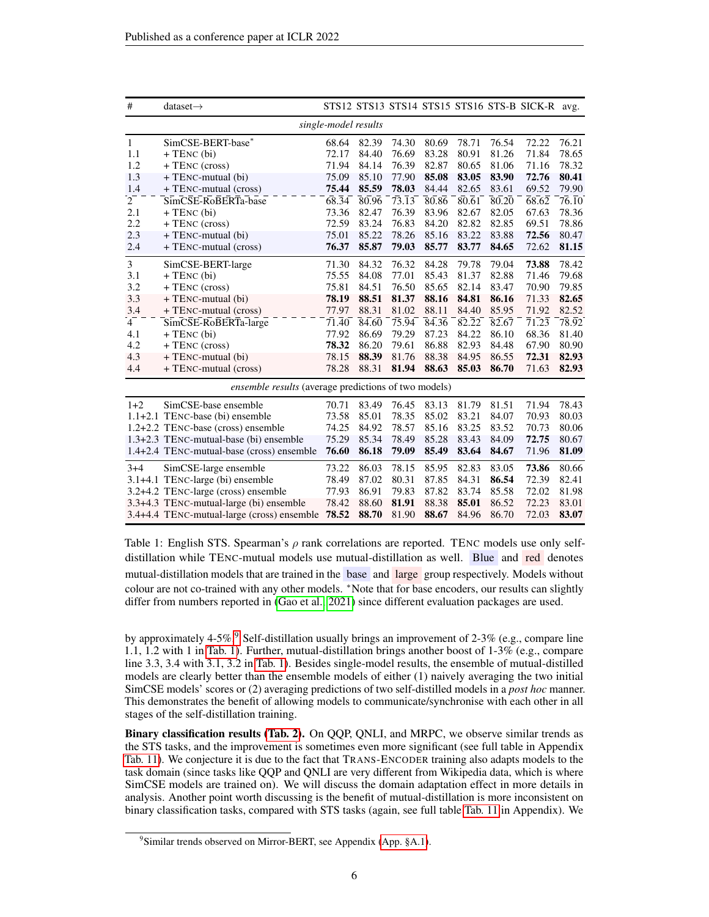<span id="page-5-0"></span>

| #              | dataset $\rightarrow$                                |                      |       |                    |                    |                    |       | STS12 STS13 STS14 STS15 STS16 STS-B SICK-R avg. |       |
|----------------|------------------------------------------------------|----------------------|-------|--------------------|--------------------|--------------------|-------|-------------------------------------------------|-------|
|                |                                                      | single-model results |       |                    |                    |                    |       |                                                 |       |
| $\mathbf{1}$   | SimCSE-BERT-base*                                    | 68.64                | 82.39 | 74.30              | 80.69              | 78.71              | 76.54 | 72.22                                           | 76.21 |
| 1.1            | $+$ TENC (bi)                                        | 72.17                | 84.40 | 76.69              | 83.28              | 80.91              | 81.26 | 71.84                                           | 78.65 |
| 1.2            | + TENC (cross)                                       | 71.94                | 84.14 | 76.39              | 82.87              | 80.65              | 81.06 | 71.16                                           | 78.32 |
| 1.3            | + TENC-mutual (bi)                                   | 75.09                | 85.10 | 77.90              | 85.08              | 83.05              | 83.90 | 72.76                                           | 80.41 |
| 1.4            | + TENC-mutual (cross)                                | 75.44                | 85.59 | 78.03              | 84.44              | 82.65              | 83.61 | 69.52                                           | 79.90 |
| $\overline{2}$ | SimCSE-RoBERTa-base                                  | $68.\overline{3}4$   | 80.96 | $73.\overline{13}$ | 80.86              | $80.\overline{61}$ | 80.20 | $\overline{68.62}$                              | 76.10 |
| 2.1            | $+$ TENC (bi)                                        | 73.36                | 82.47 | 76.39              | 83.96              | 82.67              | 82.05 | 67.63                                           | 78.36 |
| 2.2            | $+$ TENC (cross)                                     | 72.59                | 83.24 | 76.83              | 84.20              | 82.82              | 82.85 | 69.51                                           | 78.86 |
| 2.3            | + TENC-mutual (bi)                                   | 75.01                | 85.22 | 78.26              | 85.16              | 83.22              | 83.88 | 72.56                                           | 80.47 |
| 2.4            | + TENC-mutual (cross)                                | 76.37                | 85.87 | 79.03              | 85.77              | 83.77              | 84.65 | 72.62                                           | 81.15 |
| 3              | SimCSE-BERT-large                                    | 71.30                | 84.32 | 76.32              | 84.28              | 79.78              | 79.04 | 73.88                                           | 78.42 |
| 3.1            | $+$ TENC (bi)                                        | 75.55                | 84.08 | 77.01              | 85.43              | 81.37              | 82.88 | 71.46                                           | 79.68 |
| 3.2            | + TENC (cross)                                       | 75.81                | 84.51 | 76.50              | 85.65              | 82.14              | 83.47 | 70.90                                           | 79.85 |
| 3.3            | + TENC-mutual (bi)                                   | 78.19                | 88.51 | 81.37              | 88.16              | 84.81              | 86.16 | 71.33                                           | 82.65 |
| 3.4            | + TENC-mutual (cross)                                | 77.97                | 88.31 | 81.02              | 88.11              | 84.40              | 85.95 | 71.92                                           | 82.52 |
| $4^-$          | SimCSE-RoBERTa-large                                 | 71.40                | 84.60 | 75.94              | $\overline{84.36}$ | 82.22              | 82.67 | 71.23                                           | 78.92 |
| 4.1            | $+$ TENC (bi)                                        | 77.92                | 86.69 | 79.29              | 87.23              | 84.22              | 86.10 | 68.36                                           | 81.40 |
| 4.2            | + TENC (cross)                                       | 78.32                | 86.20 | 79.61              | 86.88              | 82.93              | 84.48 | 67.90                                           | 80.90 |
| 4.3            | + TENC-mutual (bi)                                   | 78.15                | 88.39 | 81.76              | 88.38              | 84.95              | 86.55 | 72.31                                           | 82.93 |
| 4.4            | + TENC-mutual (cross)                                | 78.28                | 88.31 | 81.94              | 88.63              | 85.03              | 86.70 | 71.63                                           | 82.93 |
|                | ensemble results (average predictions of two models) |                      |       |                    |                    |                    |       |                                                 |       |
| $1+2$          | SimCSE-base ensemble                                 | 70.71                | 83.49 | 76.45              | 83.13              | 81.79              | 81.51 | 71.94                                           | 78.43 |
|                | 1.1+2.1 TENC-base (bi) ensemble                      | 73.58                | 85.01 | 78.35              | 85.02              | 83.21              | 84.07 | 70.93                                           | 80.03 |
|                | 1.2+2.2 TENC-base (cross) ensemble                   | 74.25                | 84.92 | 78.57              | 85.16              | 83.25              | 83.52 | 70.73                                           | 80.06 |
|                | 1.3+2.3 TENC-mutual-base (bi) ensemble               | 75.29                | 85.34 | 78.49              | 85.28              | 83.43              | 84.09 | 72.75                                           | 80.67 |
|                | 1.4+2.4 TENC-mutual-base (cross) ensemble            | 76.60                | 86.18 | 79.09              | 85.49              | 83.64              | 84.67 | 71.96                                           | 81.09 |
| $3 + 4$        | SimCSE-large ensemble                                | 73.22                | 86.03 | 78.15              | 85.95              | 82.83              | 83.05 | 73.86                                           | 80.66 |
|                | 3.1+4.1 TENC-large (bi) ensemble                     | 78.49                | 87.02 | 80.31              | 87.85              | 84.31              | 86.54 | 72.39                                           | 82.41 |
|                | 3.2+4.2 TENC-large (cross) ensemble                  | 77.93                | 86.91 | 79.83              | 87.82              | 83.74              | 85.58 | 72.02                                           | 81.98 |
|                | 3.3+4.3 TENC-mutual-large (bi) ensemble              | 78.42                | 88.60 | 81.91              | 88.38              | 85.01              | 86.52 | 72.23                                           | 83.01 |
|                | 3.4+4.4 TENC-mutual-large (cross) ensemble           | 78.52                | 88.70 | 81.90              | 88.67              | 84.96              | 86.70 | 72.03                                           | 83.07 |

Table 1: English STS. Spearman's  $\rho$  rank correlations are reported. TENC models use only selfdistillation while TENC-mutual models use mutual-distillation as well. Blue and red denotes mutual-distillation models that are trained in the base and large group respectively. Models without colour are not co-trained with any other models. \*Note that for base encoders, our results can slightly differ from numbers reported in [\(Gao et al., 2021\)](#page-9-0) since different evaluation packages are used.

by approximately 4-5%.<sup>[9](#page-5-1)</sup> Self-distillation usually brings an improvement of 2-3% (e.g., compare line 1.1, 1.2 with 1 in [Tab. 1\)](#page-5-0). Further, mutual-distillation brings another boost of 1-3% (e.g., compare line 3.3, 3.4 with 3.1, 3.2 in [Tab. 1\)](#page-5-0). Besides single-model results, the ensemble of mutual-distilled models are clearly better than the ensemble models of either (1) naively averaging the two initial SimCSE models' scores or (2) averaging predictions of two self-distilled models in a *post hoc* manner. This demonstrates the benefit of allowing models to communicate/synchronise with each other in all stages of the self-distillation training.

Binary classification results [\(Tab. 2\)](#page-6-1). On QQP, QNLI, and MRPC, we observe similar trends as the STS tasks, and the improvement is sometimes even more significant (see full table in Appendix [Tab. 11\)](#page-15-0). We conjecture it is due to the fact that TRANS-ENCODER training also adapts models to the task domain (since tasks like QQP and QNLI are very different from Wikipedia data, which is where SimCSE models are trained on). We will discuss the domain adaptation effect in more details in analysis. Another point worth discussing is the benefit of mutual-distillation is more inconsistent on binary classification tasks, compared with STS tasks (again, see full table [Tab. 11](#page-15-0) in Appendix). We

<span id="page-5-1"></span><sup>&</sup>lt;sup>9</sup> Similar trends observed on Mirror-BERT, see Appendix [\(App. §A.1\)](#page-11-1).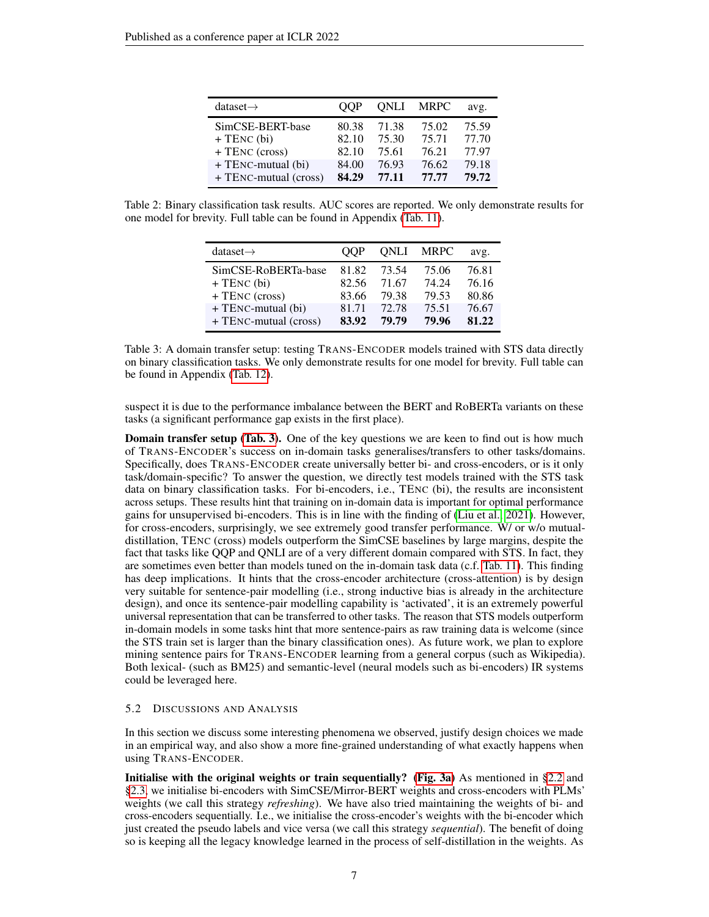<span id="page-6-1"></span>

| dataset $\rightarrow$                                 | OOP                              | ONLI                             | <b>MRPC</b>                      | avg.                             |
|-------------------------------------------------------|----------------------------------|----------------------------------|----------------------------------|----------------------------------|
| SimCSE-BERT-base<br>$+$ TENC (bi)<br>$+$ TENC (cross) | 80.38<br>82.10<br>82.10<br>84.00 | 71.38<br>75.30<br>75.61<br>76.93 | 75.02<br>75.71<br>76.21<br>76.62 | 75.59<br>77.70<br>77.97<br>79.18 |
| $+$ TENC-mutual (bi)<br>+ TENC-mutual (cross)         | 84.29                            | 77.11                            | 77.77                            | 79.72                            |

<span id="page-6-2"></span>Table 2: Binary classification task results. AUC scores are reported. We only demonstrate results for one model for brevity. Full table can be found in Appendix [\(Tab. 11\)](#page-15-0).

| dataset $\rightarrow$ | OO P  | ONLI  | <b>MRPC</b> | avg.  |
|-----------------------|-------|-------|-------------|-------|
| SimCSE-RoBERTa-base   | 81.82 | 73.54 | 75.06       | 76.81 |
| $+$ TENC (bi)         | 82.56 | 71.67 | 74.24       | 76.16 |
| + TENC (cross)        | 83.66 | 79.38 | 79.53       | 80.86 |
| + TENC-mutual (bi)    | 81.71 | 72.78 | 75.51       | 76.67 |
| + TENC-mutual (cross) | 83.92 | 79.79 | 79.96       | 81.22 |

Table 3: A domain transfer setup: testing TRANS-ENCODER models trained with STS data directly on binary classification tasks. We only demonstrate results for one model for brevity. Full table can be found in Appendix [\(Tab. 12\)](#page-16-0).

suspect it is due to the performance imbalance between the BERT and RoBERTa variants on these tasks (a significant performance gap exists in the first place).

Domain transfer setup [\(Tab. 3\)](#page-6-2). One of the key questions we are keen to find out is how much of TRANS-ENCODER's success on in-domain tasks generalises/transfers to other tasks/domains. Specifically, does TRANS-ENCODER create universally better bi- and cross-encoders, or is it only task/domain-specific? To answer the question, we directly test models trained with the STS task data on binary classification tasks. For bi-encoders, i.e., TENC (bi), the results are inconsistent across setups. These results hint that training on in-domain data is important for optimal performance gains for unsupervised bi-encoders. This is in line with the finding of [\(Liu et al., 2021\)](#page-10-0). However, for cross-encoders, surprisingly, we see extremely good transfer performance. W/ or w/o mutualdistillation, TENC (cross) models outperform the SimCSE baselines by large margins, despite the fact that tasks like QQP and QNLI are of a very different domain compared with STS. In fact, they are sometimes even better than models tuned on the in-domain task data (c.f. [Tab. 11\)](#page-15-0). This finding has deep implications. It hints that the cross-encoder architecture (cross-attention) is by design very suitable for sentence-pair modelling (i.e., strong inductive bias is already in the architecture design), and once its sentence-pair modelling capability is 'activated', it is an extremely powerful universal representation that can be transferred to other tasks. The reason that STS models outperform in-domain models in some tasks hint that more sentence-pairs as raw training data is welcome (since the STS train set is larger than the binary classification ones). As future work, we plan to explore mining sentence pairs for TRANS-ENCODER learning from a general corpus (such as Wikipedia). Both lexical- (such as BM25) and semantic-level (neural models such as bi-encoders) IR systems could be leveraged here.

#### <span id="page-6-0"></span>5.2 DISCUSSIONS AND ANALYSIS

In this section we discuss some interesting phenomena we observed, justify design choices we made in an empirical way, and also show a more fine-grained understanding of what exactly happens when using TRANS-ENCODER.

Initialise with the original weights or train sequentially? [\(Fig. 3a\)](#page-7-0) As mentioned in  $\S 2.2$  and [§2.3,](#page-2-1) we initialise bi-encoders with SimCSE/Mirror-BERT weights and cross-encoders with PLMs' weights (we call this strategy *refreshing*). We have also tried maintaining the weights of bi- and cross-encoders sequentially. I.e., we initialise the cross-encoder's weights with the bi-encoder which just created the pseudo labels and vice versa (we call this strategy *sequential*). The benefit of doing so is keeping all the legacy knowledge learned in the process of self-distillation in the weights. As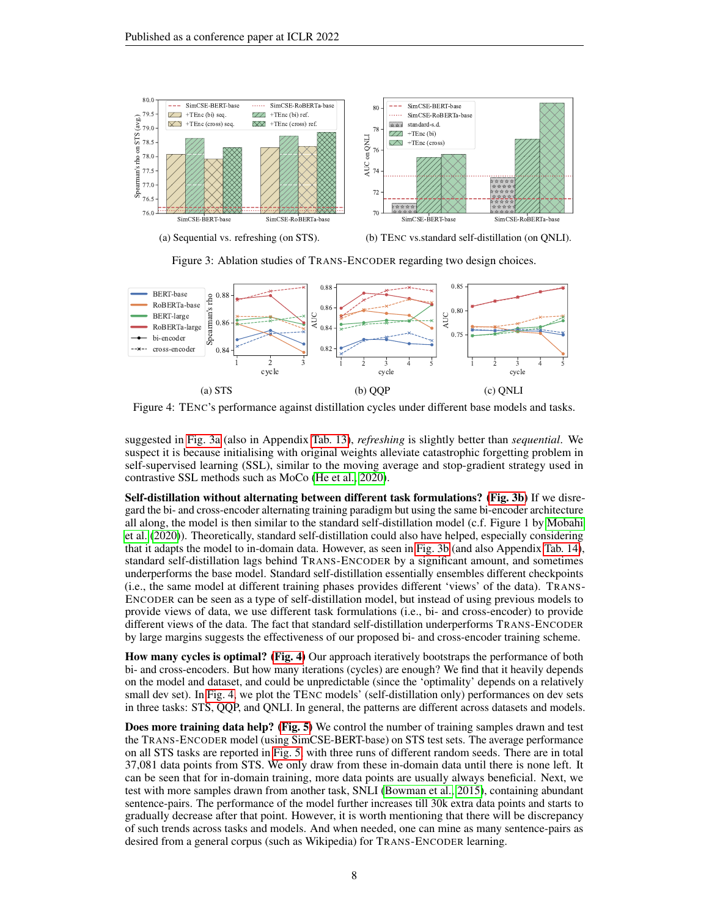<span id="page-7-0"></span>

(a) Sequential vs. refreshing (on STS).

(b) TENC vs.standard self-distillation (on QNLI).



<span id="page-7-1"></span>

Figure 4: TENC's performance against distillation cycles under different base models and tasks.

suggested in [Fig. 3a](#page-7-0) (also in Appendix [Tab. 13\)](#page-16-1), *refreshing* is slightly better than *sequential*. We suspect it is because initialising with original weights alleviate catastrophic forgetting problem in self-supervised learning (SSL), similar to the moving average and stop-gradient strategy used in contrastive SSL methods such as MoCo [\(He et al., 2020\)](#page-9-9).

Self-distillation without alternating between different task formulations? [\(Fig. 3b\)](#page-7-0) If we disregard the bi- and cross-encoder alternating training paradigm but using the same bi-encoder architecture all along, the model is then similar to the standard self-distillation model (c.f. Figure 1 by [Mobahi](#page-10-11) [et al.](#page-10-11) [\(2020\)](#page-10-11)). Theoretically, standard self-distillation could also have helped, especially considering that it adapts the model to in-domain data. However, as seen in [Fig. 3b](#page-7-0) (and also Appendix [Tab. 14\)](#page-16-2), standard self-distillation lags behind TRANS-ENCODER by a significant amount, and sometimes underperforms the base model. Standard self-distillation essentially ensembles different checkpoints (i.e., the same model at different training phases provides different 'views' of the data). TRANS-ENCODER can be seen as a type of self-distillation model, but instead of using previous models to provide views of data, we use different task formulations (i.e., bi- and cross-encoder) to provide different views of the data. The fact that standard self-distillation underperforms TRANS-ENCODER by large margins suggests the effectiveness of our proposed bi- and cross-encoder training scheme.

How many cycles is optimal? [\(Fig. 4\)](#page-7-1) Our approach iteratively bootstraps the performance of both bi- and cross-encoders. But how many iterations (cycles) are enough? We find that it heavily depends on the model and dataset, and could be unpredictable (since the 'optimality' depends on a relatively small dev set). In [Fig. 4,](#page-7-1) we plot the TENC models' (self-distillation only) performances on dev sets in three tasks: STS, QQP, and QNLI. In general, the patterns are different across datasets and models.

Does more training data help? [\(Fig. 5\)](#page-8-1) We control the number of training samples drawn and test the TRANS-ENCODER model (using SimCSE-BERT-base) on STS test sets. The average performance on all STS tasks are reported in [Fig. 5,](#page-8-1) with three runs of different random seeds. There are in total 37,081 data points from STS. We only draw from these in-domain data until there is none left. It can be seen that for in-domain training, more data points are usually always beneficial. Next, we test with more samples drawn from another task, SNLI [\(Bowman et al., 2015\)](#page-9-10), containing abundant sentence-pairs. The performance of the model further increases till 30k extra data points and starts to gradually decrease after that point. However, it is worth mentioning that there will be discrepancy of such trends across tasks and models. And when needed, one can mine as many sentence-pairs as desired from a general corpus (such as Wikipedia) for TRANS-ENCODER learning.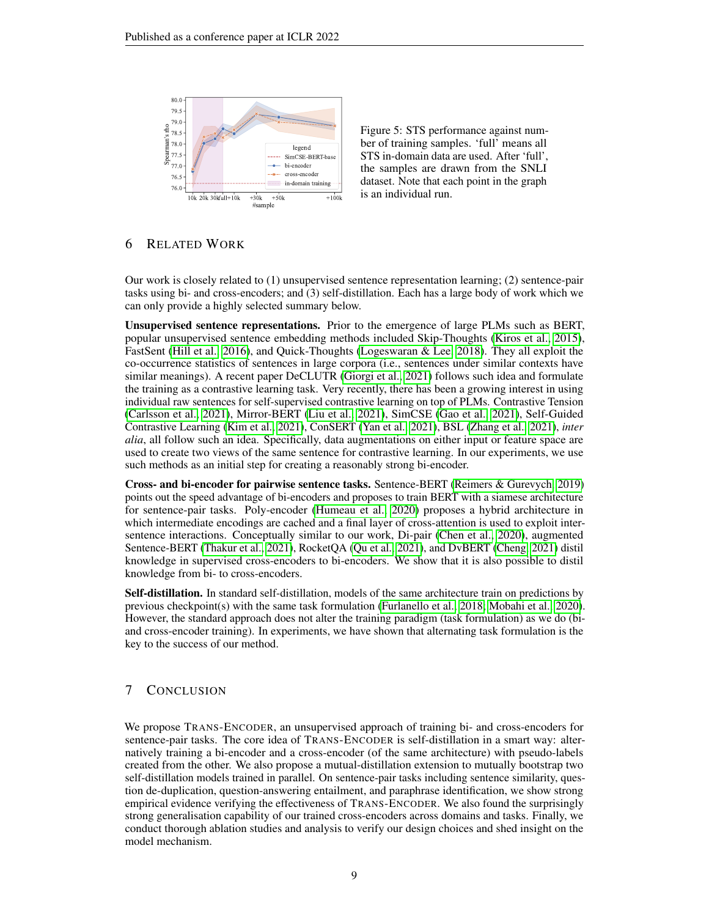<span id="page-8-1"></span>

Figure 5: STS performance against number of training samples. 'full' means all STS in-domain data are used. After 'full', the samples are drawn from the SNLI dataset. Note that each point in the graph is an individual run.

## <span id="page-8-0"></span>6 RELATED WORK

Our work is closely related to (1) unsupervised sentence representation learning; (2) sentence-pair tasks using bi- and cross-encoders; and (3) self-distillation. Each has a large body of work which we can only provide a highly selected summary below.

Unsupervised sentence representations. Prior to the emergence of large PLMs such as BERT, popular unsupervised sentence embedding methods included Skip-Thoughts [\(Kiros et al., 2015\)](#page-10-12), FastSent [\(Hill et al., 2016\)](#page-9-11), and Quick-Thoughts [\(Logeswaran & Lee, 2018\)](#page-10-13). They all exploit the co-occurrence statistics of sentences in large corpora (i.e., sentences under similar contexts have similar meanings). A recent paper DeCLUTR [\(Giorgi et al., 2021\)](#page-9-12) follows such idea and formulate the training as a contrastive learning task. Very recently, there has been a growing interest in using individual raw sentences for self-supervised contrastive learning on top of PLMs. Contrastive Tension [\(Carlsson et al., 2021\)](#page-9-13), Mirror-BERT [\(Liu et al., 2021\)](#page-10-0), SimCSE [\(Gao et al., 2021\)](#page-9-0), Self-Guided Contrastive Learning [\(Kim et al., 2021\)](#page-10-14), ConSERT [\(Yan et al., 2021\)](#page-10-15), BSL [\(Zhang et al., 2021\)](#page-10-16), *inter alia*, all follow such an idea. Specifically, data augmentations on either input or feature space are used to create two views of the same sentence for contrastive learning. In our experiments, we use such methods as an initial step for creating a reasonably strong bi-encoder.

Cross- and bi-encoder for pairwise sentence tasks. Sentence-BERT [\(Reimers & Gurevych, 2019\)](#page-10-5) points out the speed advantage of bi-encoders and proposes to train BERT with a siamese architecture for sentence-pair tasks. Poly-encoder [\(Humeau et al., 2020\)](#page-9-2) proposes a hybrid architecture in which intermediate encodings are cached and a final layer of cross-attention is used to exploit intersentence interactions. Conceptually similar to our work, Di-pair [\(Chen et al., 2020\)](#page-9-14), augmented Sentence-BERT [\(Thakur et al., 2021\)](#page-10-2), RocketQA [\(Qu et al., 2021\)](#page-10-17), and DvBERT [\(Cheng, 2021\)](#page-9-15) distil knowledge in supervised cross-encoders to bi-encoders. We show that it is also possible to distil knowledge from bi- to cross-encoders.

Self-distillation. In standard self-distillation, models of the same architecture train on predictions by previous checkpoint(s) with the same task formulation [\(Furlanello et al., 2018;](#page-9-16) [Mobahi et al., 2020\)](#page-10-11). However, the standard approach does not alter the training paradigm (task formulation) as we do (biand cross-encoder training). In experiments, we have shown that alternating task formulation is the key to the success of our method.

# 7 CONCLUSION

We propose TRANS-ENCODER, an unsupervised approach of training bi- and cross-encoders for sentence-pair tasks. The core idea of TRANS-ENCODER is self-distillation in a smart way: alternatively training a bi-encoder and a cross-encoder (of the same architecture) with pseudo-labels created from the other. We also propose a mutual-distillation extension to mutually bootstrap two self-distillation models trained in parallel. On sentence-pair tasks including sentence similarity, question de-duplication, question-answering entailment, and paraphrase identification, we show strong empirical evidence verifying the effectiveness of TRANS-ENCODER. We also found the surprisingly strong generalisation capability of our trained cross-encoders across domains and tasks. Finally, we conduct thorough ablation studies and analysis to verify our design choices and shed insight on the model mechanism.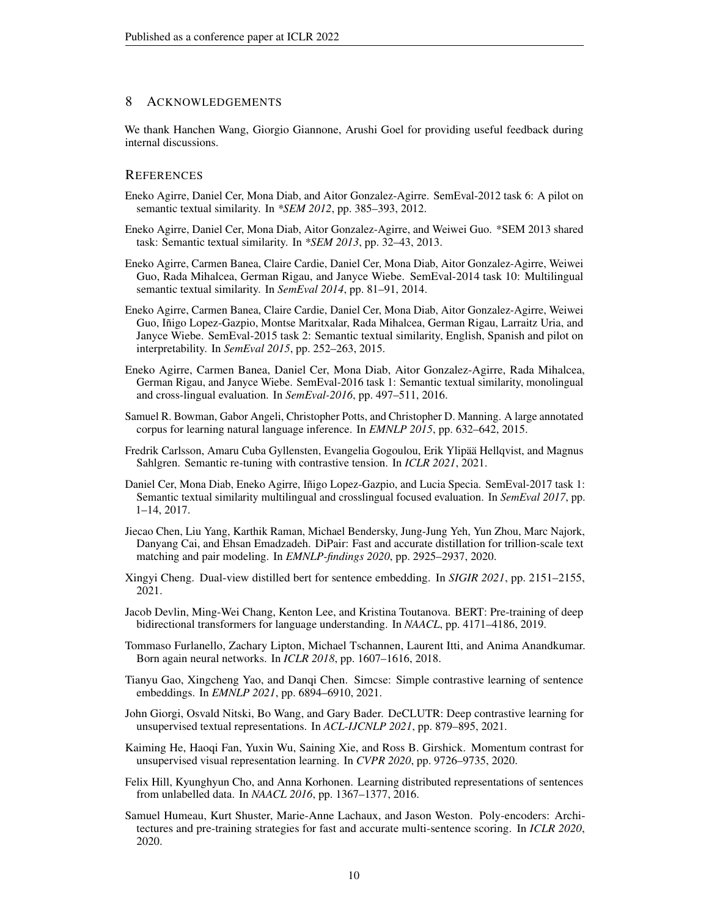## 8 ACKNOWLEDGEMENTS

We thank Hanchen Wang, Giorgio Giannone, Arushi Goel for providing useful feedback during internal discussions.

## **REFERENCES**

- <span id="page-9-3"></span>Eneko Agirre, Daniel Cer, Mona Diab, and Aitor Gonzalez-Agirre. SemEval-2012 task 6: A pilot on semantic textual similarity. In *\*SEM 2012*, pp. 385–393, 2012.
- <span id="page-9-4"></span>Eneko Agirre, Daniel Cer, Mona Diab, Aitor Gonzalez-Agirre, and Weiwei Guo. \*SEM 2013 shared task: Semantic textual similarity. In *\*SEM 2013*, pp. 32–43, 2013.
- <span id="page-9-5"></span>Eneko Agirre, Carmen Banea, Claire Cardie, Daniel Cer, Mona Diab, Aitor Gonzalez-Agirre, Weiwei Guo, Rada Mihalcea, German Rigau, and Janyce Wiebe. SemEval-2014 task 10: Multilingual semantic textual similarity. In *SemEval 2014*, pp. 81–91, 2014.
- <span id="page-9-6"></span>Eneko Agirre, Carmen Banea, Claire Cardie, Daniel Cer, Mona Diab, Aitor Gonzalez-Agirre, Weiwei Guo, Inigo Lopez-Gazpio, Montse Maritxalar, Rada Mihalcea, German Rigau, Larraitz Uria, and ˜ Janyce Wiebe. SemEval-2015 task 2: Semantic textual similarity, English, Spanish and pilot on interpretability. In *SemEval 2015*, pp. 252–263, 2015.
- <span id="page-9-7"></span>Eneko Agirre, Carmen Banea, Daniel Cer, Mona Diab, Aitor Gonzalez-Agirre, Rada Mihalcea, German Rigau, and Janyce Wiebe. SemEval-2016 task 1: Semantic textual similarity, monolingual and cross-lingual evaluation. In *SemEval-2016*, pp. 497–511, 2016.
- <span id="page-9-10"></span>Samuel R. Bowman, Gabor Angeli, Christopher Potts, and Christopher D. Manning. A large annotated corpus for learning natural language inference. In *EMNLP 2015*, pp. 632–642, 2015.
- <span id="page-9-13"></span>Fredrik Carlsson, Amaru Cuba Gyllensten, Evangelia Gogoulou, Erik Ylipää Hellqvist, and Magnus Sahlgren. Semantic re-tuning with contrastive tension. In *ICLR 2021*, 2021.
- <span id="page-9-8"></span>Daniel Cer, Mona Diab, Eneko Agirre, Iñigo Lopez-Gazpio, and Lucia Specia. SemEval-2017 task 1: Semantic textual similarity multilingual and crosslingual focused evaluation. In *SemEval 2017*, pp. 1–14, 2017.
- <span id="page-9-14"></span>Jiecao Chen, Liu Yang, Karthik Raman, Michael Bendersky, Jung-Jung Yeh, Yun Zhou, Marc Najork, Danyang Cai, and Ehsan Emadzadeh. DiPair: Fast and accurate distillation for trillion-scale text matching and pair modeling. In *EMNLP-findings 2020*, pp. 2925–2937, 2020.
- <span id="page-9-15"></span>Xingyi Cheng. Dual-view distilled bert for sentence embedding. In *SIGIR 2021*, pp. 2151–2155, 2021.
- <span id="page-9-1"></span>Jacob Devlin, Ming-Wei Chang, Kenton Lee, and Kristina Toutanova. BERT: Pre-training of deep bidirectional transformers for language understanding. In *NAACL*, pp. 4171–4186, 2019.
- <span id="page-9-16"></span>Tommaso Furlanello, Zachary Lipton, Michael Tschannen, Laurent Itti, and Anima Anandkumar. Born again neural networks. In *ICLR 2018*, pp. 1607–1616, 2018.
- <span id="page-9-0"></span>Tianyu Gao, Xingcheng Yao, and Danqi Chen. Simcse: Simple contrastive learning of sentence embeddings. In *EMNLP 2021*, pp. 6894–6910, 2021.
- <span id="page-9-12"></span>John Giorgi, Osvald Nitski, Bo Wang, and Gary Bader. DeCLUTR: Deep contrastive learning for unsupervised textual representations. In *ACL-IJCNLP 2021*, pp. 879–895, 2021.
- <span id="page-9-9"></span>Kaiming He, Haoqi Fan, Yuxin Wu, Saining Xie, and Ross B. Girshick. Momentum contrast for unsupervised visual representation learning. In *CVPR 2020*, pp. 9726–9735, 2020.
- <span id="page-9-11"></span>Felix Hill, Kyunghyun Cho, and Anna Korhonen. Learning distributed representations of sentences from unlabelled data. In *NAACL 2016*, pp. 1367–1377, 2016.
- <span id="page-9-2"></span>Samuel Humeau, Kurt Shuster, Marie-Anne Lachaux, and Jason Weston. Poly-encoders: Architectures and pre-training strategies for fast and accurate multi-sentence scoring. In *ICLR 2020*, 2020.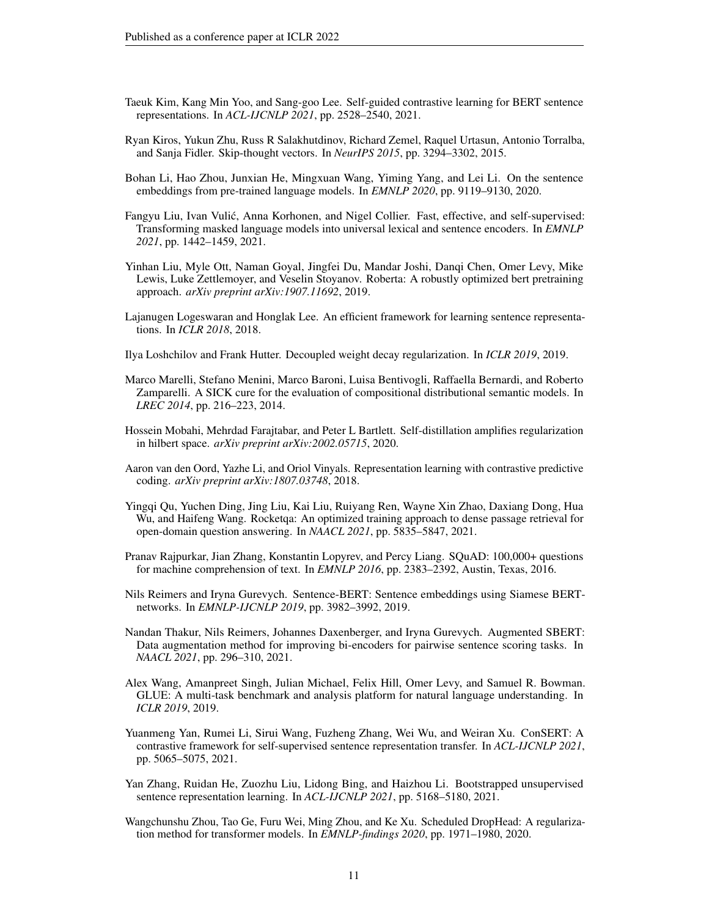- <span id="page-10-14"></span>Taeuk Kim, Kang Min Yoo, and Sang-goo Lee. Self-guided contrastive learning for BERT sentence representations. In *ACL-IJCNLP 2021*, pp. 2528–2540, 2021.
- <span id="page-10-12"></span>Ryan Kiros, Yukun Zhu, Russ R Salakhutdinov, Richard Zemel, Raquel Urtasun, Antonio Torralba, and Sanja Fidler. Skip-thought vectors. In *NeurIPS 2015*, pp. 3294–3302, 2015.
- <span id="page-10-9"></span>Bohan Li, Hao Zhou, Junxian He, Mingxuan Wang, Yiming Yang, and Lei Li. On the sentence embeddings from pre-trained language models. In *EMNLP 2020*, pp. 9119–9130, 2020.
- <span id="page-10-0"></span>Fangyu Liu, Ivan Vulic, Anna Korhonen, and Nigel Collier. Fast, effective, and self-supervised: ´ Transforming masked language models into universal lexical and sentence encoders. In *EMNLP 2021*, pp. 1442–1459, 2021.
- <span id="page-10-1"></span>Yinhan Liu, Myle Ott, Naman Goyal, Jingfei Du, Mandar Joshi, Danqi Chen, Omer Levy, Mike Lewis, Luke Zettlemoyer, and Veselin Stoyanov. Roberta: A robustly optimized bert pretraining approach. *arXiv preprint arXiv:1907.11692*, 2019.
- <span id="page-10-13"></span>Lajanugen Logeswaran and Honglak Lee. An efficient framework for learning sentence representations. In *ICLR 2018*, 2018.
- <span id="page-10-10"></span>Ilya Loshchilov and Frank Hutter. Decoupled weight decay regularization. In *ICLR 2019*, 2019.
- <span id="page-10-6"></span>Marco Marelli, Stefano Menini, Marco Baroni, Luisa Bentivogli, Raffaella Bernardi, and Roberto Zamparelli. A SICK cure for the evaluation of compositional distributional semantic models. In *LREC 2014*, pp. 216–223, 2014.
- <span id="page-10-11"></span>Hossein Mobahi, Mehrdad Farajtabar, and Peter L Bartlett. Self-distillation amplifies regularization in hilbert space. *arXiv preprint arXiv:2002.05715*, 2020.
- <span id="page-10-3"></span>Aaron van den Oord, Yazhe Li, and Oriol Vinyals. Representation learning with contrastive predictive coding. *arXiv preprint arXiv:1807.03748*, 2018.
- <span id="page-10-17"></span>Yingqi Qu, Yuchen Ding, Jing Liu, Kai Liu, Ruiyang Ren, Wayne Xin Zhao, Daxiang Dong, Hua Wu, and Haifeng Wang. Rocketqa: An optimized training approach to dense passage retrieval for open-domain question answering. In *NAACL 2021*, pp. 5835–5847, 2021.
- <span id="page-10-7"></span>Pranav Rajpurkar, Jian Zhang, Konstantin Lopyrev, and Percy Liang. SQuAD: 100,000+ questions for machine comprehension of text. In *EMNLP 2016*, pp. 2383–2392, Austin, Texas, 2016.
- <span id="page-10-5"></span>Nils Reimers and Iryna Gurevych. Sentence-BERT: Sentence embeddings using Siamese BERTnetworks. In *EMNLP-IJCNLP 2019*, pp. 3982–3992, 2019.
- <span id="page-10-2"></span>Nandan Thakur, Nils Reimers, Johannes Daxenberger, and Iryna Gurevych. Augmented SBERT: Data augmentation method for improving bi-encoders for pairwise sentence scoring tasks. In *NAACL 2021*, pp. 296–310, 2021.
- <span id="page-10-8"></span>Alex Wang, Amanpreet Singh, Julian Michael, Felix Hill, Omer Levy, and Samuel R. Bowman. GLUE: A multi-task benchmark and analysis platform for natural language understanding. In *ICLR 2019*, 2019.
- <span id="page-10-15"></span>Yuanmeng Yan, Rumei Li, Sirui Wang, Fuzheng Zhang, Wei Wu, and Weiran Xu. ConSERT: A contrastive framework for self-supervised sentence representation transfer. In *ACL-IJCNLP 2021*, pp. 5065–5075, 2021.
- <span id="page-10-16"></span>Yan Zhang, Ruidan He, Zuozhu Liu, Lidong Bing, and Haizhou Li. Bootstrapped unsupervised sentence representation learning. In *ACL-IJCNLP 2021*, pp. 5168–5180, 2021.
- <span id="page-10-4"></span>Wangchunshu Zhou, Tao Ge, Furu Wei, Ming Zhou, and Ke Xu. Scheduled DropHead: A regularization method for transformer models. In *EMNLP-findings 2020*, pp. 1971–1980, 2020.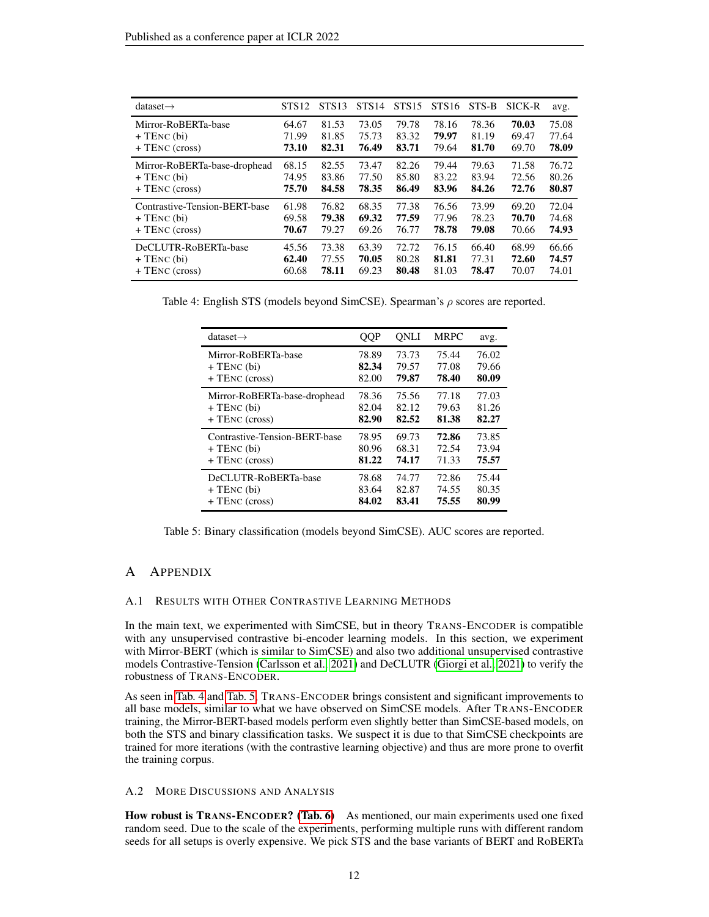<span id="page-11-2"></span>

| $dataset \rightarrow$         | STS <sub>12</sub> | <b>STS13</b> | STS <sub>14</sub> | STS <sub>15</sub> | <b>STS16</b> | STS-B | SICK-R | avg.  |
|-------------------------------|-------------------|--------------|-------------------|-------------------|--------------|-------|--------|-------|
| Mirror-RoBERTa-base           | 64.67             | 81.53        | 73.05             | 79.78             | 78.16        | 78.36 | 70.03  | 75.08 |
| $+$ TENC (bi)                 | 71.99             | 81.85        | 75.73             | 83.32             | 79.97        | 81.19 | 69.47  | 77.64 |
| $+$ TENC (cross)              | 73.10             | 82.31        | 76.49             | 83.71             | 79.64        | 81.70 | 69.70  | 78.09 |
| Mirror-RoBERTa-base-drophead  | 68.15             | 82.55        | 73.47             | 82.26             | 79.44        | 79.63 | 71.58  | 76.72 |
| $+$ TENC (bi)                 | 74.95             | 83.86        | 77.50             | 85.80             | 83.22        | 83.94 | 72.56  | 80.26 |
| $+$ TENC (cross)              | 75.70             | 84.58        | 78.35             | 86.49             | 83.96        | 84.26 | 72.76  | 80.87 |
| Contrastive-Tension-BERT-base | 61.98             | 76.82        | 68.35             | 77.38             | 76.56        | 73.99 | 69.20  | 72.04 |
| $+$ TENC (bi)                 | 69.58             | 79.38        | 69.32             | 77.59             | 77.96        | 78.23 | 70.70  | 74.68 |
| $+$ TENC (cross)              | 70.67             | 79.27        | 69.26             | 76.77             | 78.78        | 79.08 | 70.66  | 74.93 |
| DeCLUTR-RoBERTa-base          | 45.56             | 73.38        | 63.39             | 72.72             | 76.15        | 66.40 | 68.99  | 66.66 |
| $+$ TENC (bi)                 | 62.40             | 77.55        | 70.05             | 80.28             | 81.81        | 77.31 | 72.60  | 74.57 |
| $+$ TENC (cross)              | 60.68             | 78.11        | 69.23             | 80.48             | 81.03        | 78.47 | 70.07  | 74.01 |

<span id="page-11-3"></span>Table 4: English STS (models beyond SimCSE). Spearman's  $\rho$  scores are reported.

| $dataset \rightarrow$         | QQP   | ONLI  | <b>MRPC</b> | avg.  |
|-------------------------------|-------|-------|-------------|-------|
| Mirror-RoBERTa-base           | 78.89 | 73.73 | 75.44       | 76.02 |
| $+$ TENC (bi)                 | 82.34 | 79.57 | 77.08       | 79.66 |
| $+$ TENC (cross)              | 82.00 | 79.87 | 78.40       | 80.09 |
| Mirror-RoBERTa-base-drophead  | 78.36 | 75.56 | 77.18       | 77.03 |
| $+$ TENC (bi)                 | 82.04 | 82.12 | 79.63       | 81.26 |
| $+$ TENC (cross)              | 82.90 | 82.52 | 81.38       | 82.27 |
| Contrastive-Tension-BERT-base | 78.95 | 69.73 | 72.86       | 73.85 |
| $+$ TENC (bi)                 | 80.96 | 68.31 | 72.54       | 73.94 |
| $+$ TENC (cross)              | 81.22 | 74.17 | 71.33       | 75.57 |
| DeCLUTR-RoBERTa-base          | 78.68 | 74.77 | 72.86       | 75.44 |
| $+$ TENC $(bi)$               | 83.64 | 82.87 | 74.55       | 80.35 |
| $+$ TENC (cross)              | 84.02 | 83.41 | 75.55       | 80.99 |

Table 5: Binary classification (models beyond SimCSE). AUC scores are reported.

## A APPENDIX

#### <span id="page-11-1"></span>A.1 RESULTS WITH OTHER CONTRASTIVE LEARNING METHODS

In the main text, we experimented with SimCSE, but in theory TRANS-ENCODER is compatible with any unsupervised contrastive bi-encoder learning models. In this section, we experiment with Mirror-BERT (which is similar to SimCSE) and also two additional unsupervised contrastive models Contrastive-Tension [\(Carlsson et al., 2021\)](#page-9-13) and DeCLUTR [\(Giorgi et al., 2021\)](#page-9-12) to verify the robustness of TRANS-ENCODER.

As seen in [Tab. 4](#page-11-2) and [Tab. 5,](#page-11-3) TRANS-ENCODER brings consistent and significant improvements to all base models, similar to what we have observed on SimCSE models. After TRANS-ENCODER training, the Mirror-BERT-based models perform even slightly better than SimCSE-based models, on both the STS and binary classification tasks. We suspect it is due to that SimCSE checkpoints are trained for more iterations (with the contrastive learning objective) and thus are more prone to overfit the training corpus.

#### <span id="page-11-0"></span>A.2 MORE DISCUSSIONS AND ANALYSIS

How robust is TRANS-ENCODER? [\(Tab. 6\)](#page-12-0) As mentioned, our main experiments used one fixed random seed. Due to the scale of the experiments, performing multiple runs with different random seeds for all setups is overly expensive. We pick STS and the base variants of BERT and RoBERTa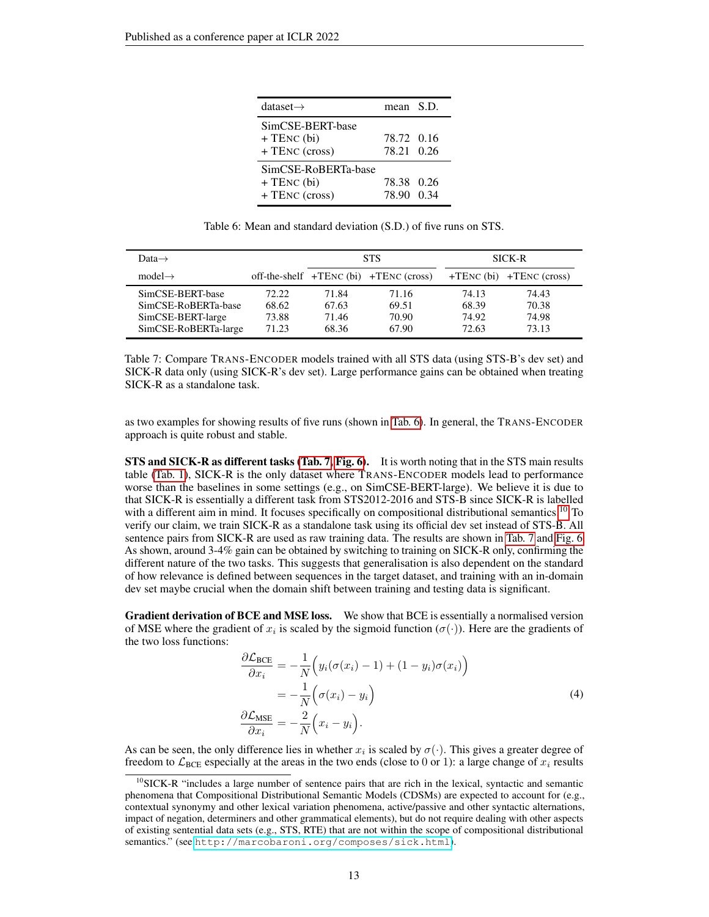<span id="page-12-0"></span>

| dataset $\rightarrow$                                  | mean S.D.                |  |
|--------------------------------------------------------|--------------------------|--|
| SimCSE-BERT-base<br>$+$ TENC (bi)<br>+ TENC (cross)    | 78.72 0.16<br>78.21 0.26 |  |
| SimCSE-RoBERTa-base<br>$+$ TENC (bi)<br>+ TENC (cross) | 78.38 0.26<br>78.90 0.34 |  |

Table 6: Mean and standard deviation (S.D.) of five runs on STS.

<span id="page-12-1"></span>

| Data $\rightarrow$                                                                   |                                  |                                  | <b>STS</b>                                 | <b>SICK-R</b>                    |                                  |  |
|--------------------------------------------------------------------------------------|----------------------------------|----------------------------------|--------------------------------------------|----------------------------------|----------------------------------|--|
| $model \rightarrow$                                                                  |                                  |                                  | off-the-shelf $+TENC$ (bi) $+TENC$ (cross) |                                  | $+TENC$ (bi) $+TENC$ (cross)     |  |
| SimCSE-BERT-base<br>SimCSE-RoBERTa-base<br>SimCSE-BERT-large<br>SimCSE-RoBERTa-large | 72.22<br>68.62<br>73.88<br>71.23 | 71.84<br>67.63<br>71.46<br>68.36 | 71.16<br>69.51<br>70.90<br>67.90           | 74.13<br>68.39<br>74.92<br>72.63 | 74.43<br>70.38<br>74.98<br>73.13 |  |

Table 7: Compare TRANS-ENCODER models trained with all STS data (using STS-B's dev set) and SICK-R data only (using SICK-R's dev set). Large performance gains can be obtained when treating SICK-R as a standalone task.

as two examples for showing results of five runs (shown in [Tab. 6\)](#page-12-0). In general, the TRANS-ENCODER approach is quite robust and stable.

STS and SICK-R as different tasks [\(Tab. 7,](#page-12-1) [Fig. 6\)](#page-13-1). It is worth noting that in the STS main results table [\(Tab. 1\)](#page-5-0), SICK-R is the only dataset where TRANS-ENCODER models lead to performance worse than the baselines in some settings (e.g., on SimCSE-BERT-large). We believe it is due to that SICK-R is essentially a different task from STS2012-2016 and STS-B since SICK-R is labelled with a different aim in mind. It focuses specifically on compositional distributional semantics.<sup>[10](#page-12-2)</sup> To verify our claim, we train SICK-R as a standalone task using its official dev set instead of STS-B. All sentence pairs from SICK-R are used as raw training data. The results are shown in [Tab. 7](#page-12-1) and [Fig. 6.](#page-13-1) As shown, around 3-4% gain can be obtained by switching to training on SICK-R only, confirming the different nature of the two tasks. This suggests that generalisation is also dependent on the standard of how relevance is defined between sequences in the target dataset, and training with an in-domain dev set maybe crucial when the domain shift between training and testing data is significant.

Gradient derivation of BCE and MSE loss. We show that BCE is essentially a normalised version of MSE where the gradient of  $x_i$  is scaled by the sigmoid function ( $\sigma(\cdot)$ ). Here are the gradients of the two loss functions:

$$
\frac{\partial \mathcal{L}_{BCE}}{\partial x_i} = -\frac{1}{N} \Big( y_i (\sigma(x_i) - 1) + (1 - y_i) \sigma(x_i) \Big)
$$
\n
$$
= -\frac{1}{N} \Big( \sigma(x_i) - y_i \Big)
$$
\n
$$
\frac{\partial \mathcal{L}_{MSE}}{\partial x_i} = -\frac{2}{N} \Big( x_i - y_i \Big).
$$
\n(4)

As can be seen, the only difference lies in whether  $x_i$  is scaled by  $\sigma(\cdot)$ . This gives a greater degree of freedom to  $\mathcal{L}_{BCE}$  especially at the areas in the two ends (close to 0 or 1): a large change of  $x_i$  results

<span id="page-12-2"></span> $10$ SICK-R "includes a large number of sentence pairs that are rich in the lexical, syntactic and semantic phenomena that Compositional Distributional Semantic Models (CDSMs) are expected to account for (e.g., contextual synonymy and other lexical variation phenomena, active/passive and other syntactic alternations, impact of negation, determiners and other grammatical elements), but do not require dealing with other aspects of existing sentential data sets (e.g., STS, RTE) that are not within the scope of compositional distributional semantics." (see <http://marcobaroni.org/composes/sick.html>).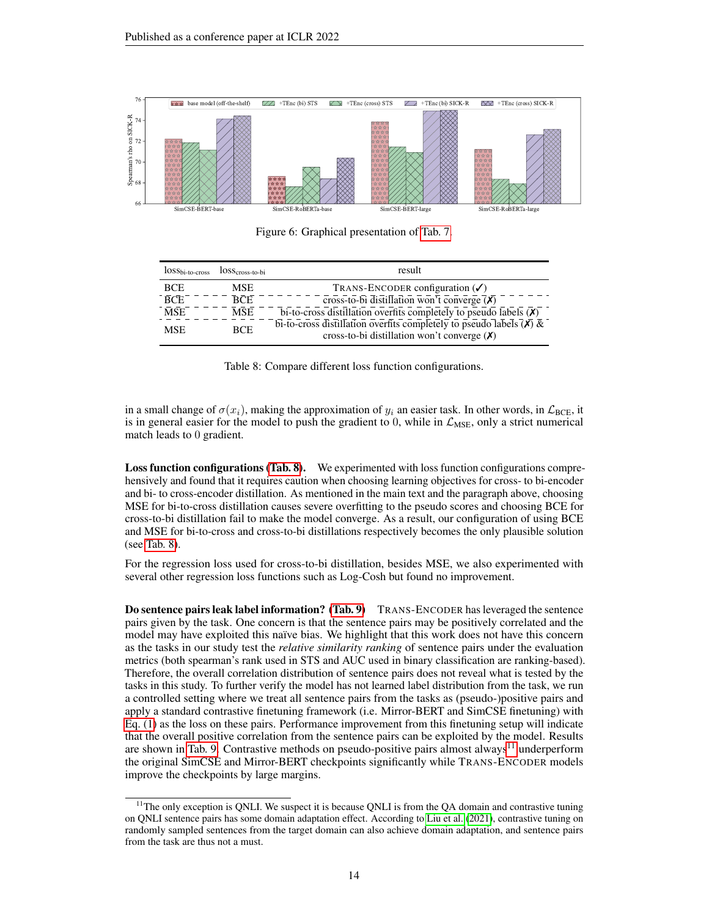<span id="page-13-1"></span>

Figure 6: Graphical presentation of [Tab. 7.](#page-12-1)

<span id="page-13-0"></span>

| $lossbi-to-cross$ | $losscross-to-bi$ | result                                                                            |
|-------------------|-------------------|-----------------------------------------------------------------------------------|
| <b>BCE</b>        | <b>MSE</b>        | TRANS-ENCODER configuration $(\checkmark)$                                        |
| <b>BCE</b>        | RCF               | cross-to-bi distillation won't converge $\overline{(\chi)}$                       |
| <b>MSE</b>        | <b>MSE</b>        | bi-to-cross distillation overfits completely to pseudo labels $(\bar{x})$         |
| <b>MSE</b>        | <b>BCE</b>        | bi-to-cross distillation overfits completely to pseudo labels $(\bar{x}) \bar{x}$ |
|                   |                   | cross-to-bi distillation won't converge $(X)$                                     |

Table 8: Compare different loss function configurations.

in a small change of  $\sigma(x_i)$ , making the approximation of  $y_i$  an easier task. In other words, in  $\mathcal{L}_{BCE}$ , it is in general easier for the model to push the gradient to 0, while in  $\mathcal{L}_{MSE}$ , only a strict numerical match leads to 0 gradient.

Loss function configurations [\(Tab. 8\)](#page-13-0). We experimented with loss function configurations comprehensively and found that it requires caution when choosing learning objectives for cross- to bi-encoder and bi- to cross-encoder distillation. As mentioned in the main text and the paragraph above, choosing MSE for bi-to-cross distillation causes severe overfitting to the pseudo scores and choosing BCE for cross-to-bi distillation fail to make the model converge. As a result, our configuration of using BCE and MSE for bi-to-cross and cross-to-bi distillations respectively becomes the only plausible solution (see [Tab. 8\)](#page-13-0).

For the regression loss used for cross-to-bi distillation, besides MSE, we also experimented with several other regression loss functions such as Log-Cosh but found no improvement.

Do sentence pairs leak label information? [\(Tab. 9\)](#page-14-0) TRANS-ENCODER has leveraged the sentence pairs given by the task. One concern is that the sentence pairs may be positively correlated and the model may have exploited this naïve bias. We highlight that this work does not have this concern as the tasks in our study test the *relative similarity ranking* of sentence pairs under the evaluation metrics (both spearman's rank used in STS and AUC used in binary classification are ranking-based). Therefore, the overall correlation distribution of sentence pairs does not reveal what is tested by the tasks in this study. To further verify the model has not learned label distribution from the task, we run a controlled setting where we treat all sentence pairs from the tasks as (pseudo-)positive pairs and apply a standard contrastive finetuning framework (i.e. Mirror-BERT and SimCSE finetuning) with [Eq. \(1\)](#page-1-4) as the loss on these pairs. Performance improvement from this finetuning setup will indicate that the overall positive correlation from the sentence pairs can be exploited by the model. Results are shown in [Tab. 9.](#page-14-0) Contrastive methods on pseudo-positive pairs almost always<sup>[11](#page-13-2)</sup> underperform the original SimCSE and Mirror-BERT checkpoints significantly while TRANS-ENCODER models improve the checkpoints by large margins.

<span id="page-13-2"></span> $11$ The only exception is QNLI. We suspect it is because QNLI is from the QA domain and contrastive tuning on QNLI sentence pairs has some domain adaptation effect. According to [Liu et al.](#page-10-0) [\(2021\)](#page-10-0), contrastive tuning on randomly sampled sentences from the target domain can also achieve domain adaptation, and sentence pairs from the task are thus not a must.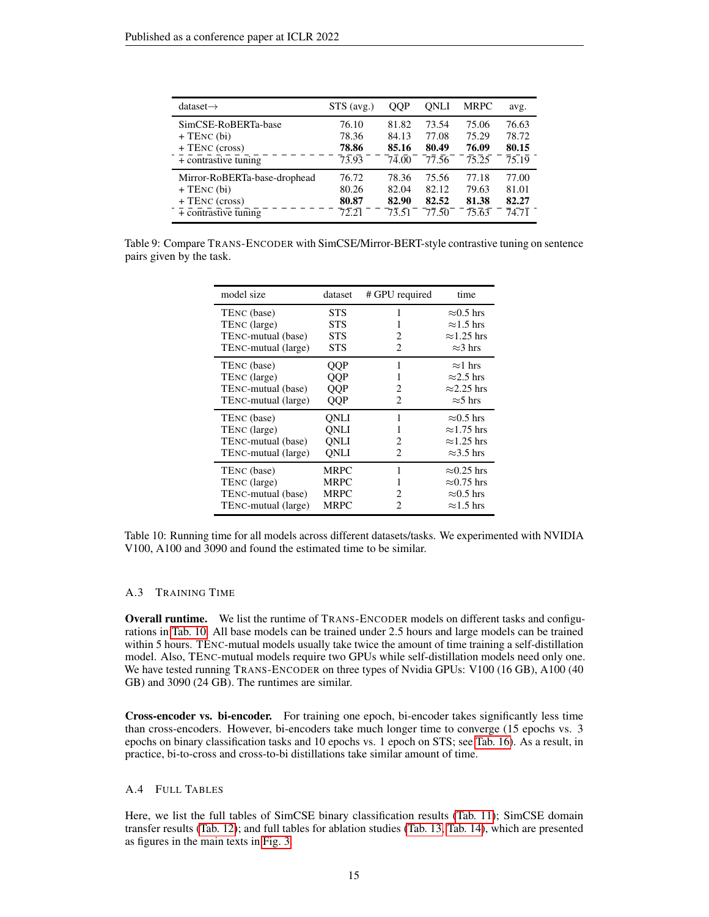<span id="page-14-0"></span>

| dataset $\rightarrow$        | $STS$ (avg.) | OOP                           | ONLI  | MRPC                | avg.               |
|------------------------------|--------------|-------------------------------|-------|---------------------|--------------------|
| SimCSE-RoBERTa-base          | 76.10        | 81.82                         | 73.54 | 75.06               | 76.63              |
| $+$ TENC (bi)                | 78.36        | 84.13                         | 77.08 | 75.29               | 78.72              |
| $+$ TENC (cross)             | 78.86        | 85.16                         | 80.49 | 76.09               | 80.15              |
| $+$ contrastive tuning       | 73.93        | 74.00                         | 77.56 | $\bar{7}5.\bar{2}5$ | $\overline{75.19}$ |
| Mirror-RoBERTa-base-drophead | 76.72        | 78.36                         | 75.56 | 77.18               | 77.00              |
| $+$ TENC (bi)                | 80.26        | 82.04                         | 82.12 | 79.63               | 81.01              |
| + TENC (cross)               | 80.87        | 82.90                         | 82.52 | 81.38               | 82.27              |
| $+$ contrastive tuning       | 72.21        | $7\overline{3}.\overline{5}1$ | 77.50 | $\overline{75.63}$  | 74.71              |

<span id="page-14-1"></span>Table 9: Compare TRANS-ENCODER with SimCSE/Mirror-BERT-style contrastive tuning on sentence pairs given by the task.

| model size          | dataset     | # GPU required        | time               |
|---------------------|-------------|-----------------------|--------------------|
| TENC (base)         | <b>STS</b>  | 1                     | $\approx 0.5$ hrs  |
| TENC (large)        | STS         | 1                     | $\approx$ 1.5 hrs  |
| TENC-mutual (base)  | <b>STS</b>  | 2                     | $\approx$ 1.25 hrs |
| TENC-mutual (large) | STS         | 2                     | $\approx$ 3 hrs    |
| TENC (base)         | QQP         | 1                     | $\approx$ 1 hrs    |
| TENC (large)        | QQP         | 1                     | $\approx$ 2.5 hrs  |
| TENC-mutual (base)  | QQP         | 2                     | $\approx$ 2.25 hrs |
| TENC-mutual (large) | QQP         | 2                     | $\approx$ 5 hrs    |
| TENC (base)         | ONLI        | 1                     | $\approx 0.5$ hrs  |
| TENC (large)        | ONLI        | 1                     | $\approx$ 1.75 hrs |
| TENC-mutual (base)  | ONLI        | $\mathcal{D}_{\cdot}$ | $\approx$ 1.25 hrs |
| TENC-mutual (large) | <b>QNLI</b> | 2                     | $\approx$ 3.5 hrs  |
| TENC (base)         | MRPC        | 1                     | $\approx 0.25$ hrs |
| TENC (large)        | <b>MRPC</b> | 1                     | $\approx 0.75$ hrs |
| TENC-mutual (base)  | <b>MRPC</b> | $\mathcal{D}_{\cdot}$ | $\approx 0.5$ hrs  |
| TENC-mutual (large) | <b>MRPC</b> | 2                     | $\approx$ 1.5 hrs  |

Table 10: Running time for all models across different datasets/tasks. We experimented with NVIDIA V100, A100 and 3090 and found the estimated time to be similar.

#### A.3 TRAINING TIME

Overall runtime. We list the runtime of TRANS-ENCODER models on different tasks and configurations in [Tab. 10.](#page-14-1) All base models can be trained under 2.5 hours and large models can be trained within 5 hours. TENC-mutual models usually take twice the amount of time training a self-distillation model. Also, TENC-mutual models require two GPUs while self-distillation models need only one. We have tested running TRANS-ENCODER on three types of Nvidia GPUs: V100 (16 GB), A100 (40 GB) and 3090 (24 GB). The runtimes are similar.

Cross-encoder vs. bi-encoder. For training one epoch, bi-encoder takes significantly less time than cross-encoders. However, bi-encoders take much longer time to converge (15 epochs vs. 3 epochs on binary classification tasks and 10 epochs vs. 1 epoch on STS; see [Tab. 16\)](#page-17-0). As a result, in practice, bi-to-cross and cross-to-bi distillations take similar amount of time.

#### A.4 FULL TABLES

Here, we list the full tables of SimCSE binary classification results [\(Tab. 11\)](#page-15-0); SimCSE domain transfer results [\(Tab. 12\)](#page-16-0); and full tables for ablation studies [\(Tab. 13,](#page-16-1) [Tab. 14\)](#page-16-2), which are presented as figures in the main texts in [Fig. 3.](#page-7-0)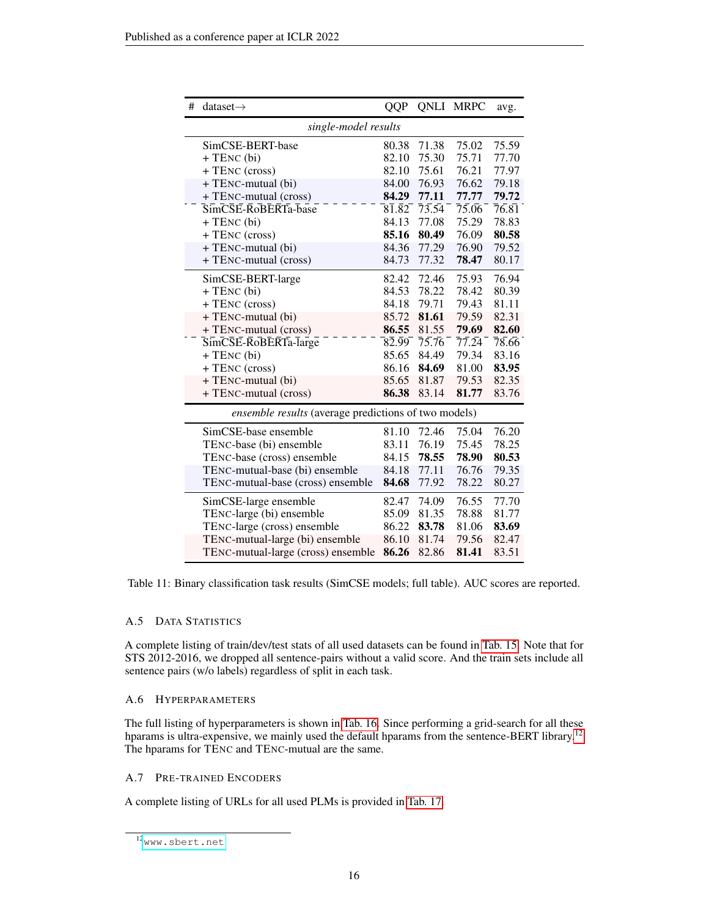<span id="page-15-0"></span>

| $dataset \rightarrow$<br>#                           | <b>QQP</b>          |       | <b>QNLI MRPC</b> | avg.  |  |  |
|------------------------------------------------------|---------------------|-------|------------------|-------|--|--|
| single-model results                                 |                     |       |                  |       |  |  |
| SimCSE-BERT-base                                     | 80.38               | 71.38 | 75.02            | 75.59 |  |  |
| + TENC (bi)                                          | 82.10               | 75.30 | 75.71            | 77.70 |  |  |
| + TENC (cross)                                       | 82.10               | 75.61 | 76.21            | 77.97 |  |  |
| + TENC-mutual (bi)                                   | 84.00               | 76.93 | 76.62            | 79.18 |  |  |
| + TENC-mutual (cross)                                | 84.29               | 77.11 | 77.77            | 79.72 |  |  |
| SimCSE-RoBERTa-base                                  | $8\bar{1}.\bar{8}2$ | 73.54 | 75.06            | 76.81 |  |  |
| $+$ TENC (bi)                                        | 84.13               | 77.08 | 75.29            | 78.83 |  |  |
| + TENC (cross)                                       | 85.16               | 80.49 | 76.09            | 80.58 |  |  |
| + TENC-mutual (bi)                                   | 84.36               | 77.29 | 76.90            | 79.52 |  |  |
| + TENC-mutual (cross)                                | 84.73               | 77.32 | 78.47            | 80.17 |  |  |
| SimCSE-BERT-large                                    | 82.42               | 72.46 | 75.93            | 76.94 |  |  |
| + TENC (bi)                                          | 84.53               | 78.22 | 78.42            | 80.39 |  |  |
| + TENC (cross)                                       | 84.18               | 79.71 | 79.43            | 81.11 |  |  |
| + TENC-mutual (bi)                                   | 85.72               | 81.61 | 79.59            | 82.31 |  |  |
| + TENC-mutual (cross)                                | 86.55               | 81.55 | 79.69            | 82.60 |  |  |
| SimCSE-RoBERTa-large                                 | 82.99               | 75.76 | 77.24            | 78.66 |  |  |
| + TENC (bi)                                          | 85.65               | 84.49 | 79.34            | 83.16 |  |  |
| + TENC (cross)                                       | 86.16               | 84.69 | 81.00            | 83.95 |  |  |
| + TENC-mutual (bi)                                   | 85.65               | 81.87 | 79.53            | 82.35 |  |  |
| + TENC-mutual (cross)                                | 86.38               | 83.14 | 81.77            | 83.76 |  |  |
| ensemble results (average predictions of two models) |                     |       |                  |       |  |  |
| SimCSE-base ensemble                                 | 81.10               | 72.46 | 75.04            | 76.20 |  |  |
| TENC-base (bi) ensemble                              | 83.11               | 76.19 | 75.45            | 78.25 |  |  |
| TENC-base (cross) ensemble                           | 84.15               | 78.55 | 78.90            | 80.53 |  |  |
| TENC-mutual-base (bi) ensemble                       | 84.18               | 77.11 | 76.76            | 79.35 |  |  |
| TENC-mutual-base (cross) ensemble                    | 84.68               | 77.92 | 78.22            | 80.27 |  |  |
| SimCSE-large ensemble                                | 82.47               | 74.09 | 76.55            | 77.70 |  |  |
| TENC-large (bi) ensemble                             | 85.09               | 81.35 | 78.88            | 81.77 |  |  |
| TENC-large (cross) ensemble                          | 86.22               | 83.78 | 81.06            | 83.69 |  |  |
| TENC-mutual-large (bi) ensemble                      | 86.10               | 81.74 | 79.56            | 82.47 |  |  |
| TENC-mutual-large (cross) ensemble                   | 86.26               | 82.86 | 81.41            | 83.51 |  |  |

Table 11: Binary classification task results (SimCSE models; full table). AUC scores are reported.

## A.5 DATA STATISTICS

A complete listing of train/dev/test stats of all used datasets can be found in [Tab. 15.](#page-17-1) Note that for STS 2012-2016, we dropped all sentence-pairs without a valid score. And the train sets include all sentence pairs (w/o labels) regardless of split in each task.

## A.6 HYPERPARAMETERS

The full listing of hyperparameters is shown in [Tab. 16.](#page-17-0) Since performing a grid-search for all these hparams is ultra-expensive, we mainly used the default hparams from the sentence-BERT library.<sup>[12](#page-15-1)</sup> The hparams for TENC and TENC-mutual are the same.

## A.7 PRE-TRAINED ENCODERS

A complete listing of URLs for all used PLMs is provided in [Tab. 17.](#page-17-2)

<span id="page-15-1"></span> $12$ <sub>WWW.sbert.net</sub>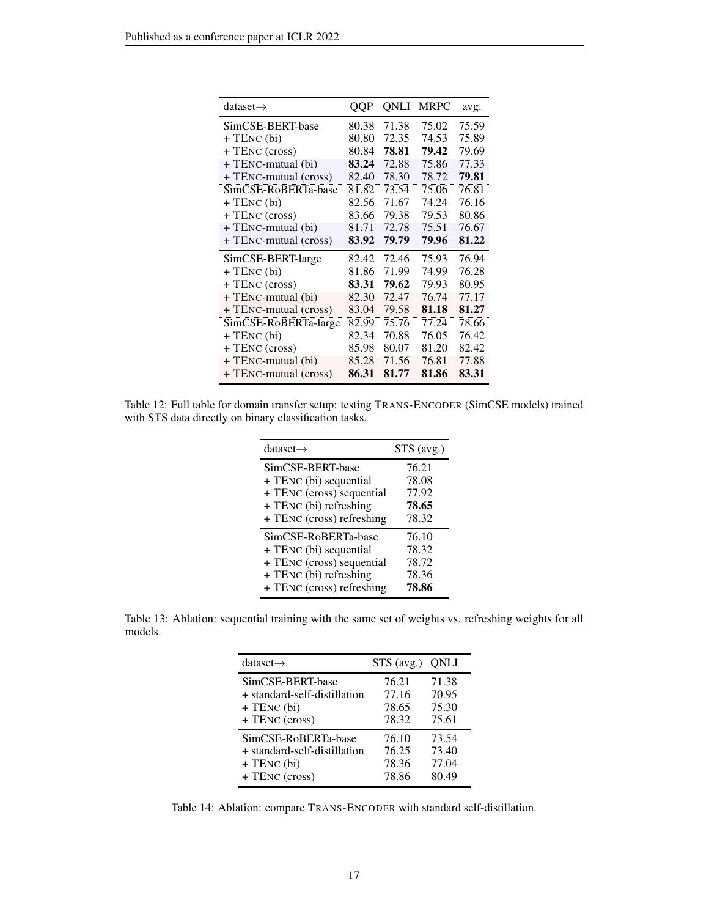<span id="page-16-0"></span>

| dataset $\rightarrow$ | QQP   | QNLI               | <b>MRPC</b> | avg.  |
|-----------------------|-------|--------------------|-------------|-------|
| SimCSE-BERT-base      | 80.38 | 71.38              | 75.02       | 75.59 |
| + TENC (bi)           | 80.80 | 72.35              | 74.53       | 75.89 |
| + TENC (cross)        | 80.84 | 78.81              | 79.42       | 79.69 |
| + TENC-mutual (bi)    | 83.24 | 72.88              | 75.86       | 77.33 |
| + TENC-mutual (cross) | 82.40 | 78.30              | 78.72       | 79.81 |
| SimCSE-RoBERTa-base   | 81.82 | $\overline{73.54}$ | 75.06       | 76.81 |
| $+$ TENC (bi)         | 82.56 | 71.67              | 74.24       | 76.16 |
| + TENC (cross)        | 83.66 | 79.38              | 79.53       | 80.86 |
| + TENC-mutual (bi)    | 81.71 | 72.78              | 75.51       | 76.67 |
| + TENC-mutual (cross) | 83.92 | 79.79              | 79.96       | 81.22 |
| SimCSE-BERT-large     | 82.42 | 72.46              | 75.93       | 76.94 |
| $+$ TENC (bi)         | 81.86 | 71.99              | 74.99       | 76.28 |
| + TENC (cross)        | 83.31 | 79.62              | 79.93       | 80.95 |
| + TENC-mutual (bi)    | 82.30 | 72.47              | 76.74       | 77.17 |
| + TENC-mutual (cross) | 83.04 | 79.58              | 81.18       | 81.27 |
| SimCSE-RoBERTa-large  | 82.99 | 75.76              | 77.24       | 78.66 |
| $+$ TENC (bi)         | 82.34 | 70.88              | 76.05       | 76.42 |
| + TENC (cross)        | 85.98 | 80.07              | 81.20       | 82.42 |
| + TENC-mutual (bi)    | 85.28 | 71.56              | 76.81       | 77.88 |
| + TENC-mutual (cross) | 86.31 | 81.77              | 81.86       | 83.31 |

<span id="page-16-1"></span>Table 12: Full table for domain transfer setup: testing TRANS-ENCODER (SimCSE models) trained with STS data directly on binary classification tasks.

| dataset $\rightarrow$     | $STS$ (avg.) |
|---------------------------|--------------|
| SimCSE-BERT-base          | 76.21        |
| + TENC (bi) sequential    | 78.08        |
| + TENC (cross) sequential | 77.92        |
| + TENC (bi) refreshing    | 78.65        |
| + TENC (cross) refreshing | 78.32        |
| SimCSE-RoBERTa-base       | 76.10        |
| + TENC (bi) sequential    | 78.32        |
| + TENC (cross) sequential | 78.72        |
| + TENC (bi) refreshing    | 78.36        |
| + TENC (cross) refreshing | 78.86        |

<span id="page-16-2"></span>Table 13: Ablation: sequential training with the same set of weights vs. refreshing weights for all models.

| dataset $\rightarrow$        | STS (avg.) QNLI |       |
|------------------------------|-----------------|-------|
| SimCSE-BERT-base             | 76.21           | 71.38 |
| + standard-self-distillation | 77.16           | 70.95 |
| $+$ TENC (bi)                | 78.65           | 75.30 |
| + TENC (cross)               | 78.32           | 75.61 |
| SimCSE-RoBERTa-base          | 76.10           | 73.54 |
| + standard-self-distillation | 76.25           | 73.40 |
| $+$ TENC (bi)                | 78.36           | 77.04 |
| + TENC (cross)               | 78.86           | 80.49 |

Table 14: Ablation: compare TRANS-ENCODER with standard self-distillation.